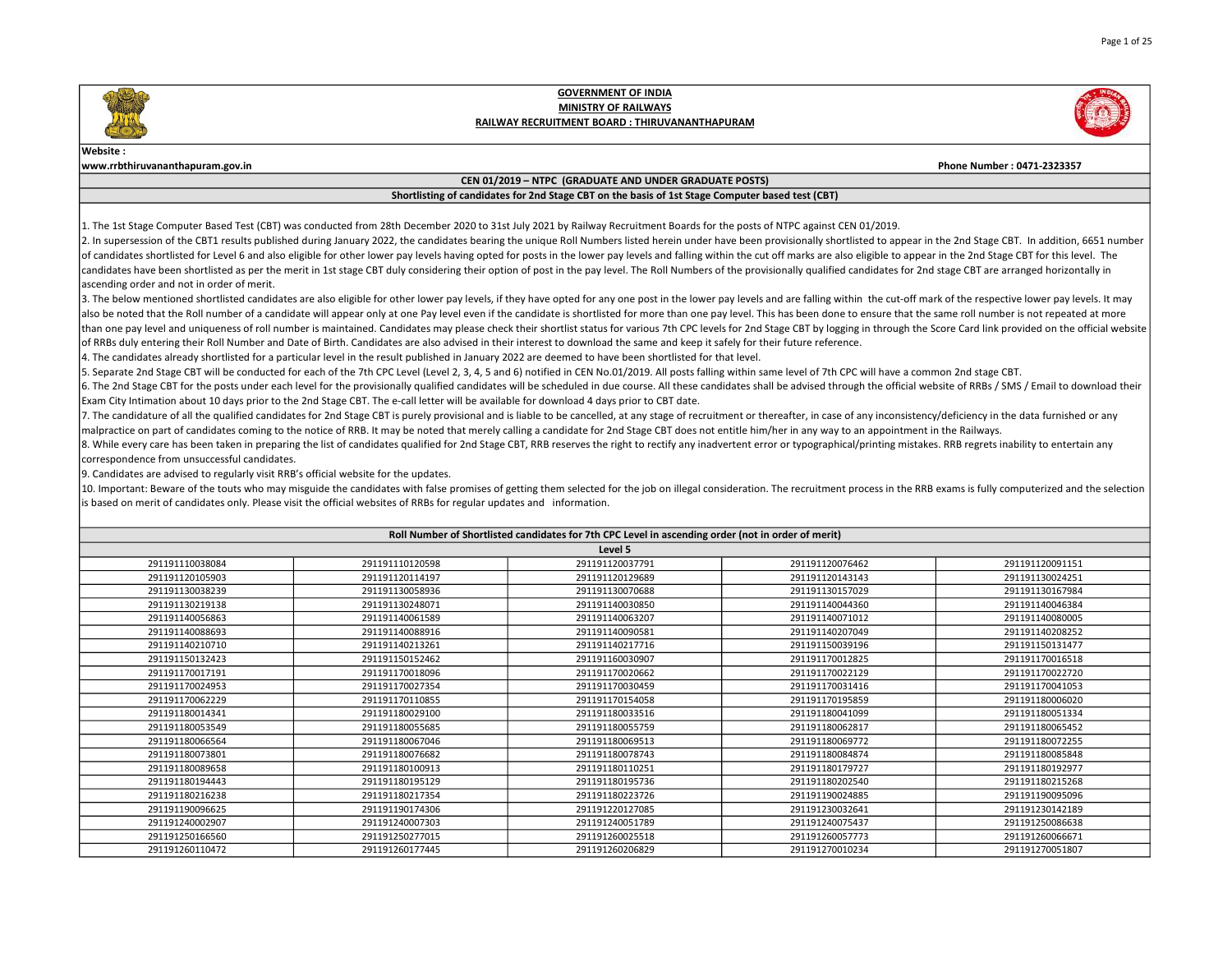### Website :

www.rrbthiruvananthapuram.gov.in Phone Number : 0471-2323357

### CEN 01/2019 – NTPC (GRADUATE AND UNDER GRADUATE POSTS)

# Shortlisting of candidates for 2nd Stage CBT on the basis of 1st Stage Computer based test (CBT)

1. The 1st Stage Computer Based Test (CBT) was conducted from 28th December 2020 to 31st July 2021 by Railway Recruitment Boards for the posts of NTPC against CEN 01/2019.

2. In supersession of the CBT1 results published during January 2022, the candidates bearing the unique Roll Numbers listed herein under have been provisionally shortlisted to appear in the 2nd Stage CBT. In addition, 6651 of candidates shortlisted for Level 6 and also eligible for other lower pay levels having opted for posts in the lower pay levels and falling within the cut off marks are also eligible to appear in the 2nd Stage CBT for th candidates have been shortlisted as per the merit in 1st stage CBT duly considering their option of post in the pay level. The Roll Numbers of the provisionally qualified candidates for 2nd stage CBT are arranged horizonta ascending order and not in order of merit.

3. The below mentioned shortlisted candidates are also eligible for other lower pay levels, if they have opted for any one post in the lower pay levels and are falling within the cut-off mark of the respective lower pay le also be noted that the Roll number of a candidate will appear only at one Pay level even if the candidate is shortlisted for more than one pay level. This has been done to ensure that the same roll number is not repeated a than one pay level and uniqueness of roll number is maintained. Candidates may please check their shortlist status for various 7th CPC levels for 2nd Stage CBT by logging in through the Score Card link provided on the offi of RRBs duly entering their Roll Number and Date of Birth. Candidates are also advised in their interest to download the same and keep it safely for their future reference.

4. The candidates already shortlisted for a particular level in the result published in January 2022 are deemed to have been shortlisted for that level.

5. Separate 2nd Stage CBT will be conducted for each of the 7th CPC Level (Level 2, 3, 4, 5 and 6) notified in CEN No.01/2019. All posts falling within same level of 7th CPC will have a common 2nd stage CBT.

6. The 2nd Stage CBT for the posts under each level for the provisionally qualified candidates will be scheduled in due course. All these candidates shall be advised through the official website of RRBs / SMS / Email to do Exam City Intimation about 10 days prior to the 2nd Stage CBT. The e-call letter will be available for download 4 days prior to CBT date.

7. The candidature of all the qualified candidates for 2nd Stage CBT is purely provisional and is liable to be cancelled, at any stage of recruitment or thereafter, in case of any inconsistency/deficiency in the data furni malpractice on part of candidates coming to the notice of RRB. It may be noted that merely calling a candidate for 2nd Stage CBT does not entitle him/her in any way to an appointment in the Railways.

8. While every care has been taken in preparing the list of candidates qualified for 2nd Stage CBT, RRB reserves the right to rectify any inadvertent error or typographical/printing mistakes. RRB regrets inability to enter correspondence from unsuccessful candidates.

9. Candidates are advised to regularly visit RRB's official website for the updates.

10. Important: Beware of the touts who may misguide the candidates with false promises of getting them selected for the iob on illegal consideration. The recruitment process in the RRB exams is fully computerized and the s is based on merit of candidates only. Please visit the official websites of RRBs for regular updates and information.

|                 |                 | Roll Number of Shortlisted candidates for 7th CPC Level in ascending order (not in order of merit) |                 |                 |  |  |
|-----------------|-----------------|----------------------------------------------------------------------------------------------------|-----------------|-----------------|--|--|
|                 | Level 5         |                                                                                                    |                 |                 |  |  |
| 291191110038084 | 291191110120598 | 291191120037791                                                                                    | 291191120076462 | 291191120091151 |  |  |
| 291191120105903 | 291191120114197 | 291191120129689                                                                                    | 291191120143143 | 291191130024251 |  |  |
| 291191130038239 | 291191130058936 | 291191130070688                                                                                    | 291191130157029 | 291191130167984 |  |  |
| 291191130219138 | 291191130248071 | 291191140030850                                                                                    | 291191140044360 | 291191140046384 |  |  |
| 291191140056863 | 291191140061589 | 291191140063207                                                                                    | 291191140071012 | 291191140080005 |  |  |
| 291191140088693 | 291191140088916 | 291191140090581                                                                                    | 291191140207049 | 291191140208252 |  |  |
| 291191140210710 | 291191140213261 | 291191140217716                                                                                    | 291191150039196 | 291191150131477 |  |  |
| 291191150132423 | 291191150152462 | 291191160030907                                                                                    | 291191170012825 | 291191170016518 |  |  |
| 291191170017191 | 291191170018096 | 291191170020662                                                                                    | 291191170022129 | 291191170022720 |  |  |
| 291191170024953 | 291191170027354 | 291191170030459                                                                                    | 291191170031416 | 291191170041053 |  |  |
| 291191170062229 | 291191170110855 | 291191170154058                                                                                    | 291191170195859 | 291191180006020 |  |  |
| 291191180014341 | 291191180029100 | 291191180033516                                                                                    | 291191180041099 | 291191180051334 |  |  |
| 291191180053549 | 291191180055685 | 291191180055759                                                                                    | 291191180062817 | 291191180065452 |  |  |
| 291191180066564 | 291191180067046 | 291191180069513                                                                                    | 291191180069772 | 291191180072255 |  |  |
| 291191180073801 | 291191180076682 | 291191180078743                                                                                    | 291191180084874 | 291191180085848 |  |  |
| 291191180089658 | 291191180100913 | 291191180110251                                                                                    | 291191180179727 | 291191180192977 |  |  |
| 291191180194443 | 291191180195129 | 291191180195736                                                                                    | 291191180202540 | 291191180215268 |  |  |
| 291191180216238 | 291191180217354 | 291191180223726                                                                                    | 291191190024885 | 291191190095096 |  |  |
| 291191190096625 | 291191190174306 | 291191220127085                                                                                    | 291191230032641 | 291191230142189 |  |  |
| 291191240002907 | 291191240007303 | 291191240051789                                                                                    | 291191240075437 | 291191250086638 |  |  |
| 291191250166560 | 291191250277015 | 291191260025518                                                                                    | 291191260057773 | 291191260066671 |  |  |
| 291191260110472 | 291191260177445 | 291191260206829                                                                                    | 291191270010234 | 291191270051807 |  |  |

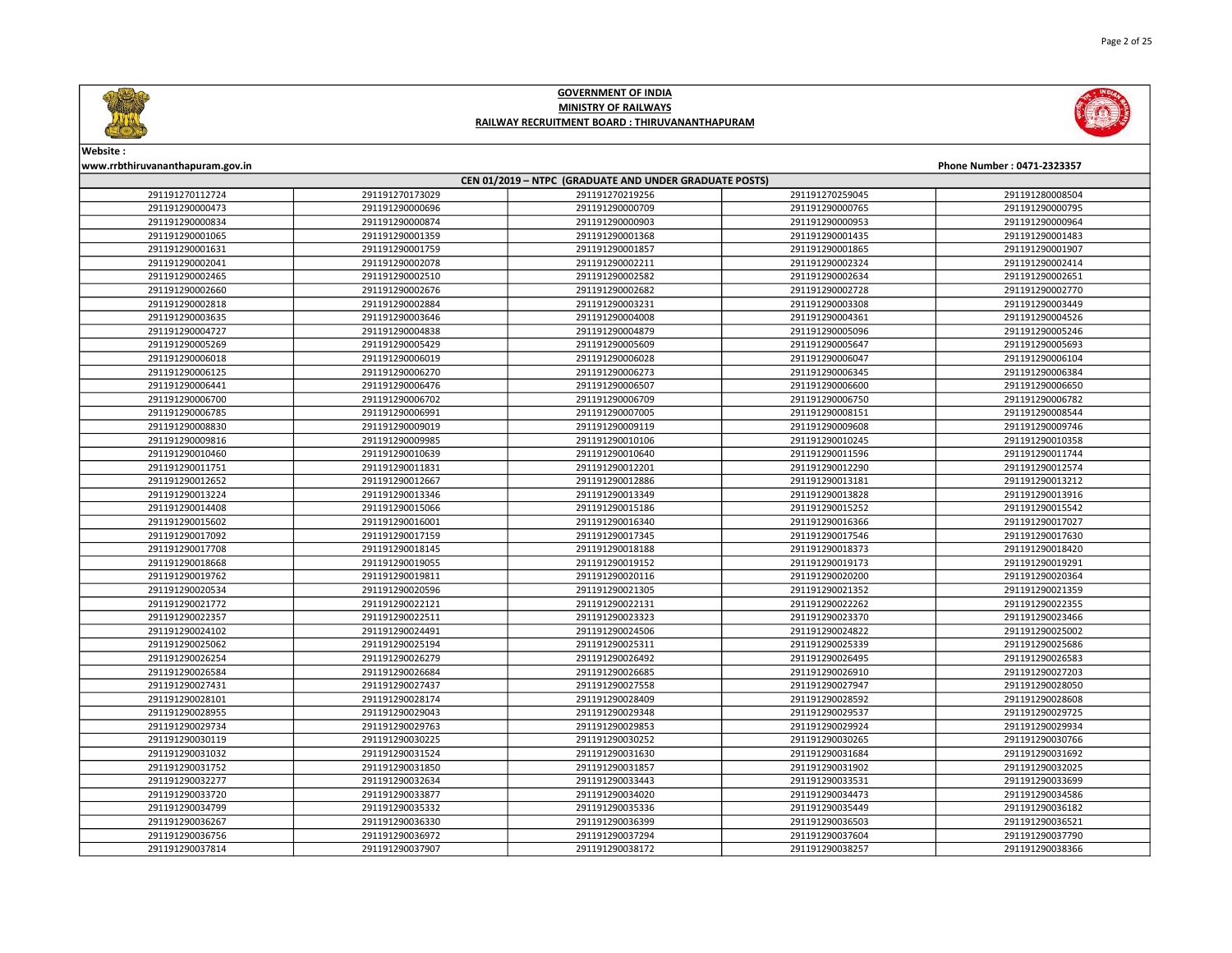



# Website :

| CEN 01/2019 - NTPC (GRADUATE AND UNDER GRADUATE POSTS) |                 |                 |                 |                 |  |
|--------------------------------------------------------|-----------------|-----------------|-----------------|-----------------|--|
| 291191270112724                                        | 291191270173029 | 291191270219256 | 291191270259045 | 291191280008504 |  |
| 291191290000473                                        | 291191290000696 | 291191290000709 | 291191290000765 | 291191290000795 |  |
| 291191290000834                                        | 291191290000874 | 291191290000903 | 291191290000953 | 291191290000964 |  |
| 291191290001065                                        | 291191290001359 | 291191290001368 | 291191290001435 | 291191290001483 |  |
| 291191290001631                                        | 291191290001759 | 291191290001857 | 291191290001865 | 291191290001907 |  |
| 291191290002041                                        | 291191290002078 | 291191290002211 | 291191290002324 | 291191290002414 |  |
| 291191290002465                                        | 291191290002510 | 291191290002582 | 291191290002634 | 291191290002651 |  |
| 291191290002660                                        | 291191290002676 | 291191290002682 | 291191290002728 | 291191290002770 |  |
| 291191290002818                                        | 291191290002884 | 291191290003231 | 291191290003308 | 291191290003449 |  |
| 291191290003635                                        | 291191290003646 | 291191290004008 | 291191290004361 | 291191290004526 |  |
| 291191290004727                                        | 291191290004838 | 291191290004879 | 291191290005096 | 291191290005246 |  |
| 291191290005269                                        | 291191290005429 | 291191290005609 | 291191290005647 | 291191290005693 |  |
| 291191290006018                                        | 291191290006019 | 291191290006028 | 291191290006047 | 291191290006104 |  |
| 291191290006125                                        | 291191290006270 | 291191290006273 | 291191290006345 | 291191290006384 |  |
| 291191290006441                                        | 291191290006476 | 291191290006507 | 291191290006600 | 291191290006650 |  |
| 291191290006700                                        | 291191290006702 | 291191290006709 | 291191290006750 | 291191290006782 |  |
| 291191290006785                                        | 291191290006991 | 291191290007005 | 291191290008151 | 291191290008544 |  |
| 291191290008830                                        | 291191290009019 | 291191290009119 | 291191290009608 | 291191290009746 |  |
| 291191290009816                                        | 291191290009985 | 291191290010106 | 291191290010245 | 291191290010358 |  |
| 291191290010460                                        | 291191290010639 | 291191290010640 | 291191290011596 | 291191290011744 |  |
| 291191290011751                                        | 291191290011831 | 291191290012201 | 291191290012290 | 291191290012574 |  |
| 291191290012652                                        | 291191290012667 | 291191290012886 | 291191290013181 | 291191290013212 |  |
| 291191290013224                                        | 291191290013346 | 291191290013349 | 291191290013828 | 291191290013916 |  |
| 291191290014408                                        | 291191290015066 | 291191290015186 | 291191290015252 | 291191290015542 |  |
| 291191290015602                                        | 291191290016001 | 291191290016340 | 291191290016366 | 291191290017027 |  |
| 291191290017092                                        | 291191290017159 | 291191290017345 | 291191290017546 | 291191290017630 |  |
| 291191290017708                                        | 291191290018145 | 291191290018188 | 291191290018373 | 291191290018420 |  |
| 291191290018668                                        | 291191290019055 | 291191290019152 | 291191290019173 | 291191290019291 |  |
| 291191290019762                                        | 291191290019811 | 291191290020116 | 291191290020200 | 291191290020364 |  |
| 291191290020534                                        | 291191290020596 | 291191290021305 | 291191290021352 | 291191290021359 |  |
| 291191290021772                                        | 291191290022121 | 291191290022131 | 291191290022262 | 291191290022355 |  |
| 291191290022357                                        | 291191290022511 | 291191290023323 | 291191290023370 | 291191290023466 |  |
| 291191290024102                                        | 291191290024491 | 291191290024506 | 291191290024822 | 291191290025002 |  |
| 291191290025062                                        | 291191290025194 | 291191290025311 | 291191290025339 | 291191290025686 |  |
| 291191290026254                                        | 291191290026279 | 291191290026492 | 291191290026495 | 291191290026583 |  |
| 291191290026584                                        | 291191290026684 | 291191290026685 | 291191290026910 | 291191290027203 |  |
| 291191290027431                                        | 291191290027437 | 291191290027558 | 291191290027947 | 291191290028050 |  |
| 291191290028101                                        | 291191290028174 | 291191290028409 | 291191290028592 | 291191290028608 |  |
| 291191290028955                                        | 291191290029043 | 291191290029348 | 291191290029537 | 291191290029725 |  |
| 291191290029734                                        | 291191290029763 | 291191290029853 | 291191290029924 | 291191290029934 |  |
| 291191290030119                                        | 291191290030225 | 291191290030252 | 291191290030265 | 291191290030766 |  |
| 291191290031032                                        | 291191290031524 | 291191290031630 | 291191290031684 | 291191290031692 |  |
| 291191290031752                                        | 291191290031850 | 291191290031857 | 291191290031902 | 291191290032025 |  |
| 291191290032277                                        | 291191290032634 | 291191290033443 | 291191290033531 | 291191290033699 |  |
| 291191290033720                                        | 291191290033877 | 291191290034020 | 291191290034473 | 291191290034586 |  |
| 291191290034799                                        | 291191290035332 | 291191290035336 | 291191290035449 | 291191290036182 |  |
| 291191290036267                                        | 291191290036330 | 291191290036399 | 291191290036503 | 291191290036521 |  |
| 291191290036756                                        | 291191290036972 | 291191290037294 | 291191290037604 | 291191290037790 |  |
| 291191290037814                                        | 291191290037907 | 291191290038172 | 291191290038257 | 291191290038366 |  |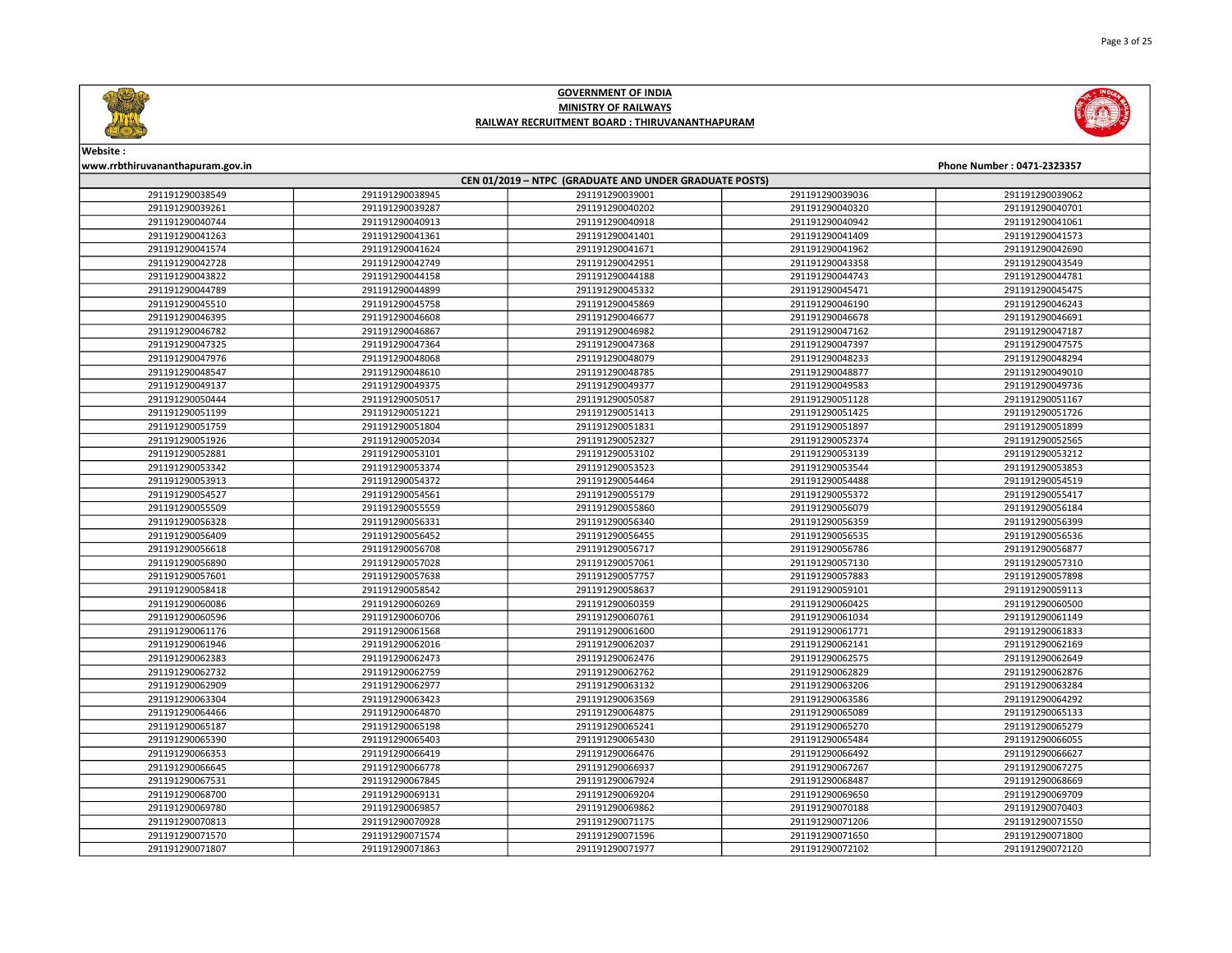



| CEN 01/2019 - NTPC (GRADUATE AND UNDER GRADUATE POSTS) |                 |                 |                 |                 |  |
|--------------------------------------------------------|-----------------|-----------------|-----------------|-----------------|--|
| 291191290038549                                        | 291191290038945 | 291191290039001 | 291191290039036 | 291191290039062 |  |
| 291191290039261                                        | 291191290039287 | 291191290040202 | 291191290040320 | 291191290040701 |  |
| 291191290040744                                        | 291191290040913 | 291191290040918 | 291191290040942 | 291191290041061 |  |
| 291191290041263                                        | 291191290041361 | 291191290041401 | 291191290041409 | 291191290041573 |  |
| 291191290041574                                        | 291191290041624 | 291191290041671 | 291191290041962 | 291191290042690 |  |
| 291191290042728                                        | 291191290042749 | 291191290042951 | 291191290043358 | 291191290043549 |  |
| 291191290043822                                        | 291191290044158 | 291191290044188 | 291191290044743 | 291191290044781 |  |
| 291191290044789                                        | 291191290044899 | 291191290045332 | 291191290045471 | 291191290045475 |  |
| 291191290045510                                        | 291191290045758 | 291191290045869 | 291191290046190 | 291191290046243 |  |
| 291191290046395                                        | 291191290046608 | 291191290046677 | 291191290046678 | 291191290046691 |  |
| 291191290046782                                        | 291191290046867 | 291191290046982 | 291191290047162 | 291191290047187 |  |
| 291191290047325                                        | 291191290047364 | 291191290047368 | 291191290047397 | 291191290047575 |  |
| 291191290047976                                        | 291191290048068 | 291191290048079 | 291191290048233 | 291191290048294 |  |
| 291191290048547                                        | 291191290048610 | 291191290048785 | 291191290048877 | 291191290049010 |  |
| 291191290049137                                        | 291191290049375 | 291191290049377 | 291191290049583 | 291191290049736 |  |
| 291191290050444                                        | 291191290050517 | 291191290050587 | 291191290051128 | 291191290051167 |  |
| 291191290051199                                        | 291191290051221 | 291191290051413 | 291191290051425 | 291191290051726 |  |
| 291191290051759                                        | 291191290051804 | 291191290051831 | 291191290051897 | 291191290051899 |  |
| 291191290051926                                        | 291191290052034 | 291191290052327 | 291191290052374 | 291191290052565 |  |
| 291191290052881                                        | 291191290053101 | 291191290053102 | 291191290053139 | 291191290053212 |  |
| 291191290053342                                        | 291191290053374 | 291191290053523 | 291191290053544 | 291191290053853 |  |
| 291191290053913                                        | 291191290054372 | 291191290054464 | 291191290054488 | 291191290054519 |  |
| 291191290054527                                        | 291191290054561 | 291191290055179 | 291191290055372 | 291191290055417 |  |
| 291191290055509                                        | 291191290055559 | 291191290055860 | 291191290056079 | 291191290056184 |  |
| 291191290056328                                        | 291191290056331 | 291191290056340 | 291191290056359 | 291191290056399 |  |
| 291191290056409                                        | 291191290056452 | 291191290056455 | 291191290056535 | 291191290056536 |  |
| 291191290056618                                        | 291191290056708 | 291191290056717 | 291191290056786 | 291191290056877 |  |
| 291191290056890                                        | 291191290057028 | 291191290057061 | 291191290057130 | 291191290057310 |  |
| 291191290057601                                        | 291191290057638 | 291191290057757 | 291191290057883 | 291191290057898 |  |
| 291191290058418                                        | 291191290058542 | 291191290058637 | 291191290059101 | 291191290059113 |  |
| 291191290060086                                        | 291191290060269 | 291191290060359 | 291191290060425 | 291191290060500 |  |
| 291191290060596                                        | 291191290060706 | 291191290060761 | 291191290061034 | 291191290061149 |  |
| 291191290061176                                        | 291191290061568 | 291191290061600 | 291191290061771 | 291191290061833 |  |
| 291191290061946                                        | 291191290062016 | 291191290062037 | 291191290062141 | 291191290062169 |  |
| 291191290062383                                        | 291191290062473 | 291191290062476 | 291191290062575 | 291191290062649 |  |
| 291191290062732                                        | 291191290062759 | 291191290062762 | 291191290062829 | 291191290062876 |  |
| 291191290062909                                        | 291191290062977 | 291191290063132 | 291191290063206 | 291191290063284 |  |
| 291191290063304                                        | 291191290063423 | 291191290063569 | 291191290063586 | 291191290064292 |  |
| 291191290064466                                        | 291191290064870 | 291191290064875 | 291191290065089 | 291191290065133 |  |
| 291191290065187                                        | 291191290065198 | 291191290065241 | 291191290065270 | 291191290065279 |  |
| 291191290065390                                        | 291191290065403 | 291191290065430 | 291191290065484 | 291191290066055 |  |
| 291191290066353                                        | 291191290066419 | 291191290066476 | 291191290066492 | 291191290066627 |  |
| 291191290066645                                        | 291191290066778 | 291191290066937 | 291191290067267 | 291191290067275 |  |
| 291191290067531                                        | 291191290067845 | 291191290067924 | 291191290068487 | 291191290068669 |  |
| 291191290068700                                        | 291191290069131 | 291191290069204 | 291191290069650 | 291191290069709 |  |
| 291191290069780                                        | 291191290069857 | 291191290069862 | 291191290070188 | 291191290070403 |  |
| 291191290070813                                        | 291191290070928 | 291191290071175 | 291191290071206 | 291191290071550 |  |
| 291191290071570                                        | 291191290071574 | 291191290071596 | 291191290071650 | 291191290071800 |  |
| 291191290071807                                        | 291191290071863 | 291191290071977 | 291191290072102 | 291191290072120 |  |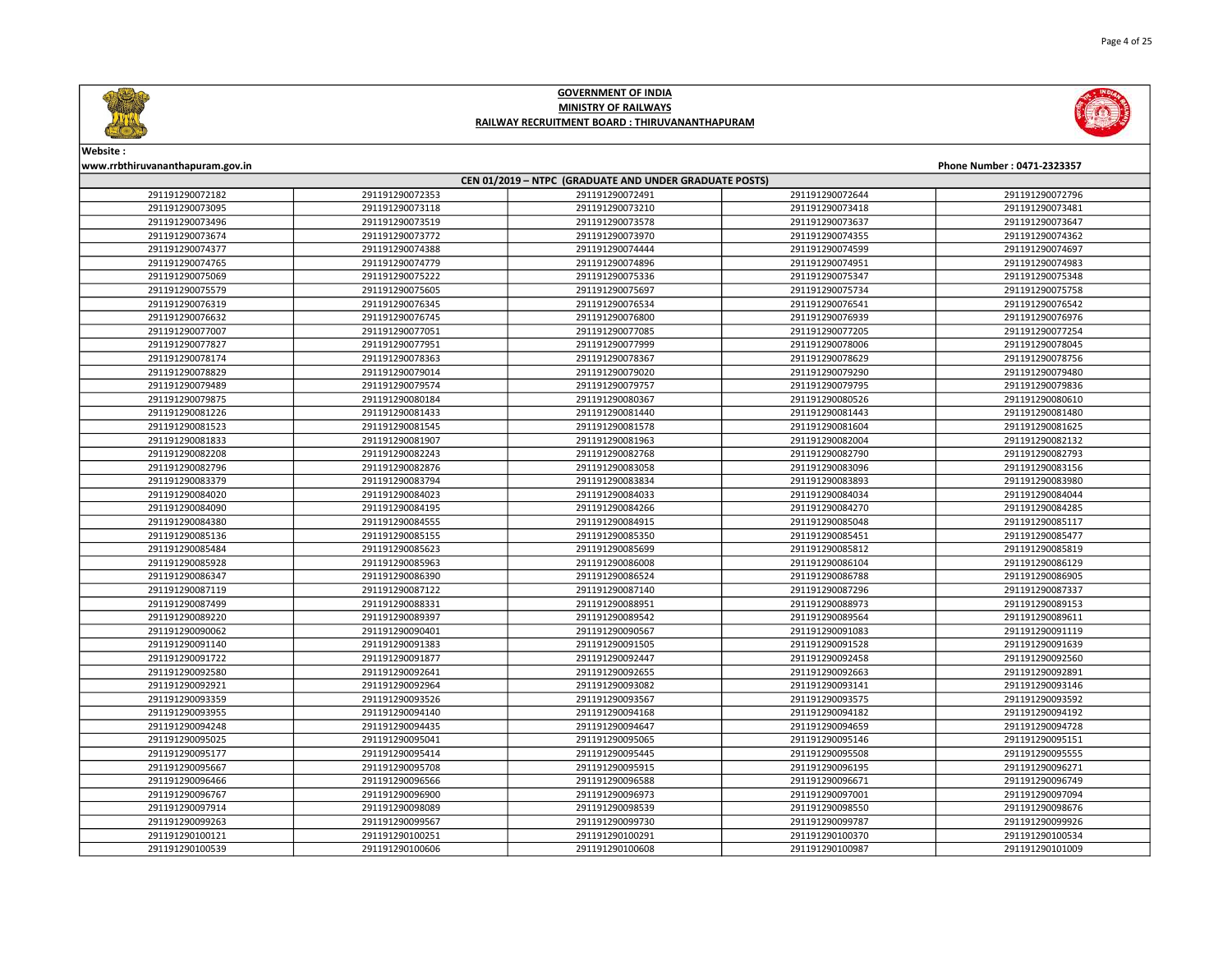



# Website :

|                 |                 | CEN 01/2019 - NTPC (GRADUATE AND UNDER GRADUATE POSTS) |                 |                 |
|-----------------|-----------------|--------------------------------------------------------|-----------------|-----------------|
| 291191290072182 | 291191290072353 | 291191290072491                                        | 291191290072644 | 291191290072796 |
| 291191290073095 | 291191290073118 | 291191290073210                                        | 291191290073418 | 291191290073481 |
| 291191290073496 | 291191290073519 | 291191290073578                                        | 291191290073637 | 291191290073647 |
| 291191290073674 | 291191290073772 | 291191290073970                                        | 291191290074355 | 291191290074362 |
| 291191290074377 | 291191290074388 | 291191290074444                                        | 291191290074599 | 291191290074697 |
| 291191290074765 | 291191290074779 | 291191290074896                                        | 291191290074951 | 291191290074983 |
| 291191290075069 | 291191290075222 | 291191290075336                                        | 291191290075347 | 291191290075348 |
| 291191290075579 | 291191290075605 | 291191290075697                                        | 291191290075734 | 291191290075758 |
| 291191290076319 | 291191290076345 | 291191290076534                                        | 291191290076541 | 291191290076542 |
| 291191290076632 | 291191290076745 | 291191290076800                                        | 291191290076939 | 291191290076976 |
| 291191290077007 | 291191290077051 | 291191290077085                                        | 291191290077205 | 291191290077254 |
| 291191290077827 | 291191290077951 | 291191290077999                                        | 291191290078006 | 291191290078045 |
| 291191290078174 | 291191290078363 | 291191290078367                                        | 291191290078629 | 291191290078756 |
| 291191290078829 | 291191290079014 | 291191290079020                                        | 291191290079290 | 291191290079480 |
| 291191290079489 | 291191290079574 | 291191290079757                                        | 291191290079795 | 291191290079836 |
| 291191290079875 | 291191290080184 | 291191290080367                                        | 291191290080526 | 291191290080610 |
| 291191290081226 | 291191290081433 | 291191290081440                                        | 291191290081443 | 291191290081480 |
| 291191290081523 | 291191290081545 | 291191290081578                                        | 291191290081604 | 291191290081625 |
| 291191290081833 | 291191290081907 | 291191290081963                                        | 291191290082004 | 291191290082132 |
| 291191290082208 | 291191290082243 | 291191290082768                                        | 291191290082790 | 291191290082793 |
| 291191290082796 | 291191290082876 | 291191290083058                                        | 291191290083096 | 291191290083156 |
| 291191290083379 | 291191290083794 | 291191290083834                                        | 291191290083893 | 291191290083980 |
| 291191290084020 | 291191290084023 | 291191290084033                                        | 291191290084034 | 291191290084044 |
| 291191290084090 | 291191290084195 | 291191290084266                                        | 291191290084270 | 291191290084285 |
| 291191290084380 | 291191290084555 | 291191290084915                                        | 291191290085048 | 291191290085117 |
| 291191290085136 | 291191290085155 | 291191290085350                                        | 291191290085451 | 291191290085477 |
| 291191290085484 | 291191290085623 | 291191290085699                                        | 291191290085812 | 291191290085819 |
| 291191290085928 | 291191290085963 | 291191290086008                                        | 291191290086104 | 291191290086129 |
| 291191290086347 | 291191290086390 | 291191290086524                                        | 291191290086788 | 291191290086905 |
| 291191290087119 | 291191290087122 | 291191290087140                                        | 291191290087296 | 291191290087337 |
| 291191290087499 | 291191290088331 | 291191290088951                                        | 291191290088973 | 291191290089153 |
| 291191290089220 | 291191290089397 | 291191290089542                                        | 291191290089564 | 291191290089611 |
| 291191290090062 | 291191290090401 | 291191290090567                                        | 291191290091083 | 291191290091119 |
| 291191290091140 | 291191290091383 | 291191290091505                                        | 291191290091528 | 291191290091639 |
| 291191290091722 | 291191290091877 | 291191290092447                                        | 291191290092458 | 291191290092560 |
| 291191290092580 | 291191290092641 | 291191290092655                                        | 291191290092663 | 291191290092891 |
| 291191290092921 | 291191290092964 | 291191290093082                                        | 291191290093141 | 291191290093146 |
| 291191290093359 | 291191290093526 | 291191290093567                                        | 291191290093575 | 291191290093592 |
| 291191290093955 | 291191290094140 | 291191290094168                                        | 291191290094182 | 291191290094192 |
| 291191290094248 | 291191290094435 | 291191290094647                                        | 291191290094659 | 291191290094728 |
| 291191290095025 | 291191290095041 | 291191290095065                                        | 291191290095146 | 291191290095151 |
| 291191290095177 | 291191290095414 | 291191290095445                                        | 291191290095508 | 291191290095555 |
| 291191290095667 | 291191290095708 | 291191290095915                                        | 291191290096195 | 291191290096271 |
| 291191290096466 | 291191290096566 | 291191290096588                                        | 291191290096671 | 291191290096749 |
| 291191290096767 | 291191290096900 | 291191290096973                                        | 291191290097001 | 291191290097094 |
| 291191290097914 | 291191290098089 | 291191290098539                                        | 291191290098550 | 291191290098676 |
| 291191290099263 | 291191290099567 | 291191290099730                                        | 291191290099787 | 291191290099926 |
| 291191290100121 | 291191290100251 | 291191290100291                                        | 291191290100370 | 291191290100534 |
| 291191290100539 | 291191290100606 | 291191290100608                                        | 291191290100987 | 291191290101009 |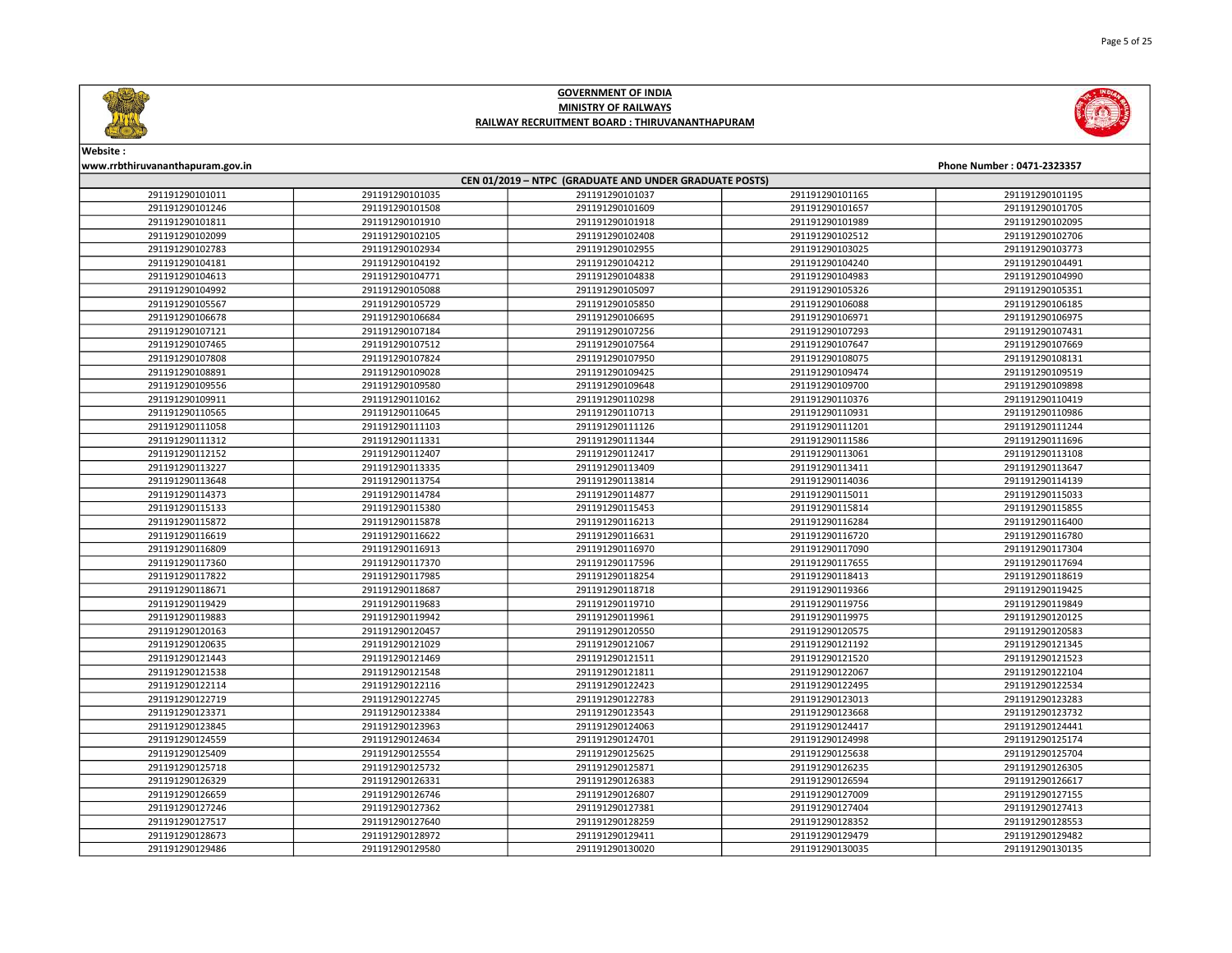





Website :

| CEN 01/2019 - NTPC (GRADUATE AND UNDER GRADUATE POSTS) |                 |                 |                 |                 |  |
|--------------------------------------------------------|-----------------|-----------------|-----------------|-----------------|--|
| 291191290101011                                        | 291191290101035 | 291191290101037 | 291191290101165 | 291191290101195 |  |
| 291191290101246                                        | 291191290101508 | 291191290101609 | 291191290101657 | 291191290101705 |  |
| 291191290101811                                        | 291191290101910 | 291191290101918 | 291191290101989 | 291191290102095 |  |
| 291191290102099                                        | 291191290102105 | 291191290102408 | 291191290102512 | 291191290102706 |  |
| 291191290102783                                        | 291191290102934 | 291191290102955 | 291191290103025 | 291191290103773 |  |
| 291191290104181                                        | 291191290104192 | 291191290104212 | 291191290104240 | 291191290104491 |  |
| 291191290104613                                        | 291191290104771 | 291191290104838 | 291191290104983 | 291191290104990 |  |
| 291191290104992                                        | 291191290105088 | 291191290105097 | 291191290105326 | 291191290105351 |  |
| 291191290105567                                        | 291191290105729 | 291191290105850 | 291191290106088 | 291191290106185 |  |
| 291191290106678                                        | 291191290106684 | 291191290106695 | 291191290106971 | 291191290106975 |  |
| 291191290107121                                        | 291191290107184 | 291191290107256 | 291191290107293 | 291191290107431 |  |
| 291191290107465                                        | 291191290107512 | 291191290107564 | 291191290107647 | 291191290107669 |  |
| 291191290107808                                        | 291191290107824 | 291191290107950 | 291191290108075 | 291191290108131 |  |
| 291191290108891                                        | 291191290109028 | 291191290109425 | 291191290109474 | 291191290109519 |  |
| 291191290109556                                        | 291191290109580 | 291191290109648 | 291191290109700 | 291191290109898 |  |
| 291191290109911                                        | 291191290110162 | 291191290110298 | 291191290110376 | 291191290110419 |  |
| 291191290110565                                        | 291191290110645 | 291191290110713 | 291191290110931 | 291191290110986 |  |
| 291191290111058                                        | 291191290111103 | 291191290111126 | 291191290111201 | 291191290111244 |  |
| 291191290111312                                        | 291191290111331 | 291191290111344 | 291191290111586 | 291191290111696 |  |
| 291191290112152                                        | 291191290112407 | 291191290112417 | 291191290113061 | 291191290113108 |  |
| 291191290113227                                        | 291191290113335 | 291191290113409 | 291191290113411 | 291191290113647 |  |
| 291191290113648                                        | 291191290113754 | 291191290113814 | 291191290114036 | 291191290114139 |  |
| 291191290114373                                        | 291191290114784 | 291191290114877 | 291191290115011 | 291191290115033 |  |
| 291191290115133                                        | 291191290115380 | 291191290115453 | 291191290115814 | 291191290115855 |  |
| 291191290115872                                        | 291191290115878 | 291191290116213 | 291191290116284 | 291191290116400 |  |
| 291191290116619                                        | 291191290116622 | 291191290116631 | 291191290116720 | 291191290116780 |  |
| 291191290116809                                        | 291191290116913 | 291191290116970 | 291191290117090 | 291191290117304 |  |
| 291191290117360                                        | 291191290117370 | 291191290117596 | 291191290117655 | 291191290117694 |  |
| 291191290117822                                        | 291191290117985 | 291191290118254 | 291191290118413 | 291191290118619 |  |
| 291191290118671                                        | 291191290118687 | 291191290118718 | 291191290119366 | 291191290119425 |  |
| 291191290119429                                        | 291191290119683 | 291191290119710 | 291191290119756 | 291191290119849 |  |
| 291191290119883                                        | 291191290119942 | 291191290119961 | 291191290119975 | 291191290120125 |  |
| 291191290120163                                        | 291191290120457 | 291191290120550 | 291191290120575 | 291191290120583 |  |
| 291191290120635                                        | 291191290121029 | 291191290121067 | 291191290121192 | 291191290121345 |  |
| 291191290121443                                        | 291191290121469 | 291191290121511 | 291191290121520 | 291191290121523 |  |
| 291191290121538                                        | 291191290121548 | 291191290121811 | 291191290122067 | 291191290122104 |  |
| 291191290122114                                        | 291191290122116 | 291191290122423 | 291191290122495 | 291191290122534 |  |
| 291191290122719                                        | 291191290122745 | 291191290122783 | 291191290123013 | 291191290123283 |  |
| 291191290123371                                        | 291191290123384 | 291191290123543 | 291191290123668 | 291191290123732 |  |
| 291191290123845                                        | 291191290123963 | 291191290124063 | 291191290124417 | 291191290124441 |  |
| 291191290124559                                        | 291191290124634 | 291191290124701 | 291191290124998 | 291191290125174 |  |
| 291191290125409                                        | 291191290125554 | 291191290125625 | 291191290125638 | 291191290125704 |  |
| 291191290125718                                        | 291191290125732 | 291191290125871 | 291191290126235 | 291191290126305 |  |
| 291191290126329                                        | 291191290126331 | 291191290126383 | 291191290126594 | 291191290126617 |  |
| 291191290126659                                        | 291191290126746 | 291191290126807 | 291191290127009 | 291191290127155 |  |
| 291191290127246                                        | 291191290127362 | 291191290127381 | 291191290127404 | 291191290127413 |  |
| 291191290127517                                        | 291191290127640 | 291191290128259 | 291191290128352 | 291191290128553 |  |
| 291191290128673                                        | 291191290128972 | 291191290129411 | 291191290129479 | 291191290129482 |  |
| 291191290129486                                        | 291191290129580 | 291191290130020 | 291191290130035 | 291191290130135 |  |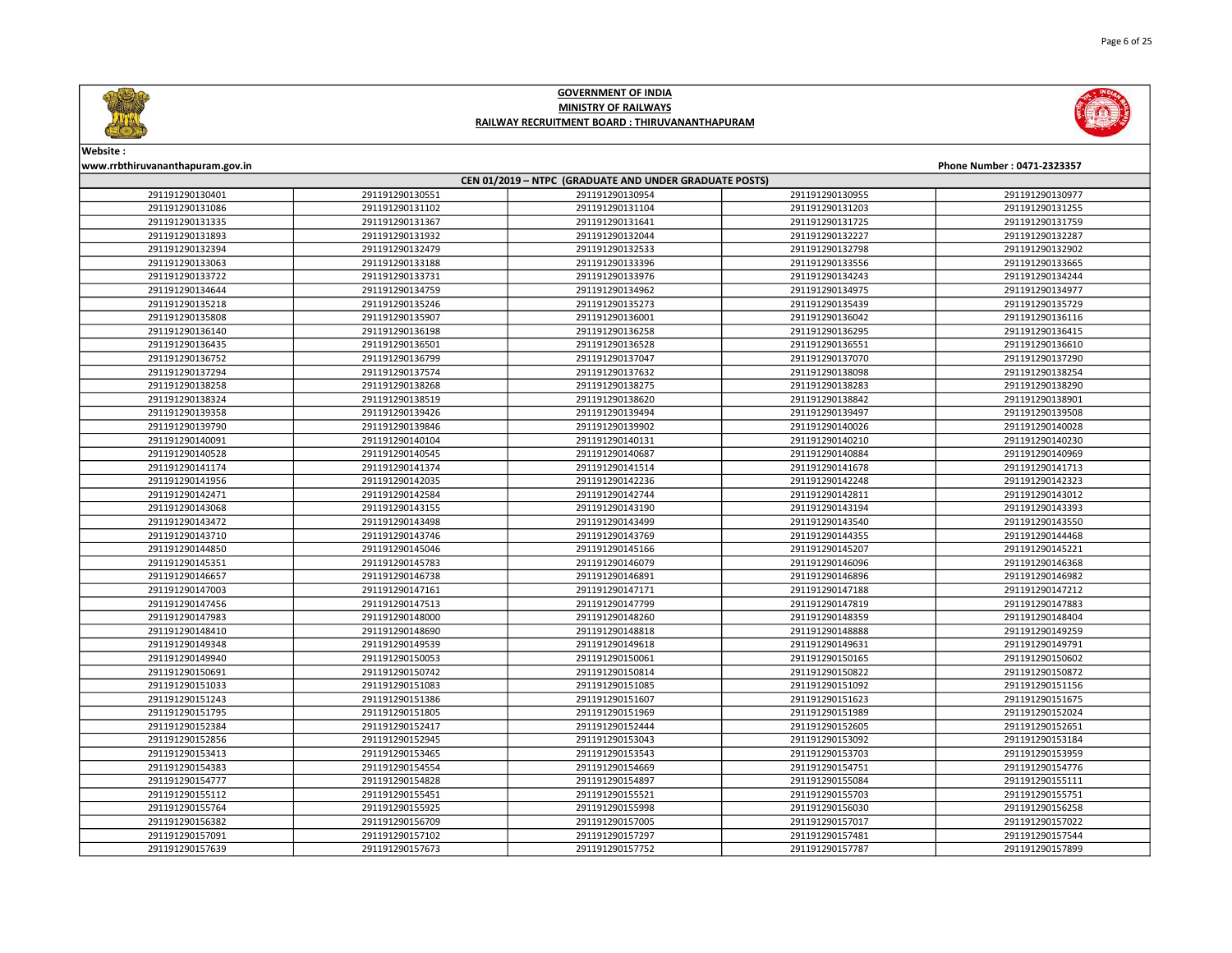

www.rrbthiruvananthapuram.gov.in Phone Number : 0471-2323357



Website :

### CEN 01/2019 – NTPC (GRADUATE AND UNDER GRADUATE POSTS) 291191290130551 291191290130954 291191290130955 291191290130977 291191290131102 291191290131104 291191290131203 291191290131255 291191290131367 291191290131641 291191290131725 291191290131759 291191290131932 291191290132044 291191290132227 291191290132287 291191290132479 291191290132533 291191290132798 291191290132902 291191290133188 291191290133396 291191290133556 291191290133665 291191290133731 291191290133976 291191290134243 291191290134244 291191290134759 291191290134962 291191290134975 291191290134977 291191290135246 291191290135273 291191290135439 291191290135729 291191290135907 291191290136001 291191290136042 291191290136116 291191290136198 291191290136258 291191290136295 291191290136415 291191290136501 291191290136528 291191290136551 291191290136610 291191290136799 291191290137047 291191290137070 291191290137290 291191290137574 291191290137632 291191290138098 291191290138254 291191290138268 291191290138275 291191290138283 291191290138290 291191290138519 291191290138620 291191290138842 291191290138901 291191290139426 291191290139494 291191290139497 291191290139508 291191290139846 291191290139902 291191290140026 291191290140028 291191290140104 291191290140131 291191290140210 291191290140230 291191290140545 291191290140687 291191290140884 291191290140969 291191290141374 291191290141514 291191290141678 291191290141713 291191290142035 291191290142236 291191290142248 291191290142323 291191290142584 291191290142744 291191290142811 291191290143012 291191290143155 291191290143190 291191290143194 291191290143393 291191290143498 291191290143499 291191290143540 291191290143550 291191290143746 291191290143769 291191290144355 291191290144468 291191290145046 291191290145166 291191290145207 291191290145221 291191290145783 291191290146079 291191290146096 291191290146368 291191290146738 291191290146891 291191290146896 291191290146982 291191290147161 291191290147171 291191290147188 291191290147212 291191290147513 291191290147799 291191290147819 291191290147883 291191290148000 291191290148260 291191290148359 291191290148404 291191290148690 291191290148818 291191290148888 291191290149259 291191290149539 291191290149618 291191290149631 291191290149791 291191290150053 291191290150061 291191290150165 291191290150602 291191290150742 291191290150814 291191290150822 291191290150872 291191290151083 291191290151085 291191290151092 291191290151156 291191290151386 291191290151607 291191290151623 291191290151675 291191290151805 291191290151969 291191290151989 291191290152024 291191290152417 291191290152444 291191290152605 291191290152651 291191290152945 291191290153043 291191290153092 291191290153184 291191290153465 291191290153543 291191290153703 291191290153959 291191290154554 291191290154669 291191290154751 291191290154776 291191290154828 291191290154897 291191290155084 291191290155111 291191290155451 291191290155521 291191290155703 291191290155751 291191290155925 291191290155998 291191290156030 291191290156258

 291191290156709 291191290157005 291191290157017 291191290157022 291191290157102 291191290157297 291191290157481 291191290157544 291191290157673 291191290157752 291191290157787 291191290157899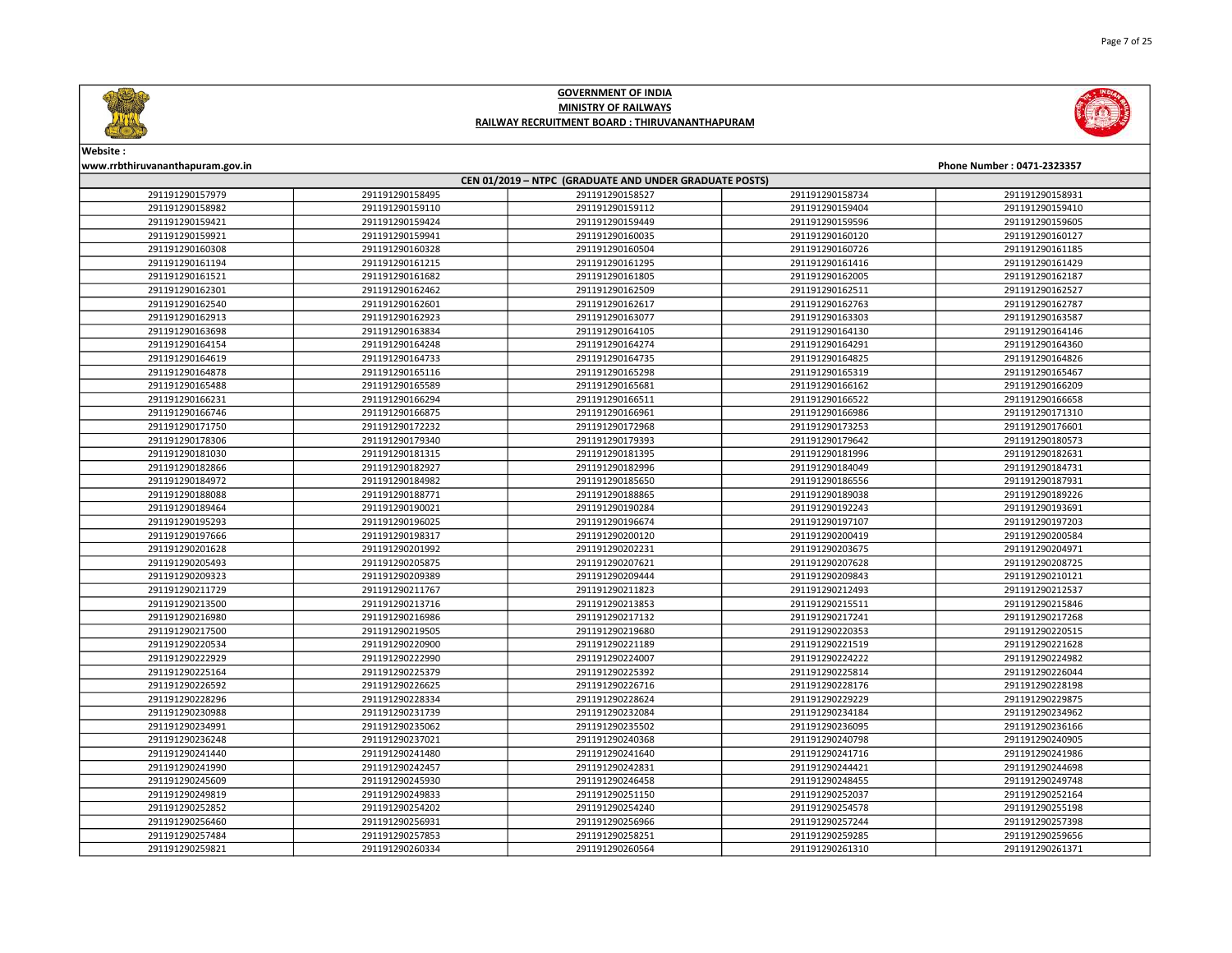



| CEN 01/2019 - NTPC (GRADUATE AND UNDER GRADUATE POSTS) |                 |                 |                 |                 |  |
|--------------------------------------------------------|-----------------|-----------------|-----------------|-----------------|--|
| 291191290157979                                        | 291191290158495 | 291191290158527 | 291191290158734 | 291191290158931 |  |
| 291191290158982                                        | 291191290159110 | 291191290159112 | 291191290159404 | 291191290159410 |  |
| 291191290159421                                        | 291191290159424 | 291191290159449 | 291191290159596 | 291191290159605 |  |
| 291191290159921                                        | 291191290159941 | 291191290160035 | 291191290160120 | 291191290160127 |  |
| 291191290160308                                        | 291191290160328 | 291191290160504 | 291191290160726 | 291191290161185 |  |
| 291191290161194                                        | 291191290161215 | 291191290161295 | 291191290161416 | 291191290161429 |  |
| 291191290161521                                        | 291191290161682 | 291191290161805 | 291191290162005 | 291191290162187 |  |
| 291191290162301                                        | 291191290162462 | 291191290162509 | 291191290162511 | 291191290162527 |  |
| 291191290162540                                        | 291191290162601 | 291191290162617 | 291191290162763 | 291191290162787 |  |
| 291191290162913                                        | 291191290162923 | 291191290163077 | 291191290163303 | 291191290163587 |  |
| 291191290163698                                        | 291191290163834 | 291191290164105 | 291191290164130 | 291191290164146 |  |
| 291191290164154                                        | 291191290164248 | 291191290164274 | 291191290164291 | 291191290164360 |  |
| 291191290164619                                        | 291191290164733 | 291191290164735 | 291191290164825 | 291191290164826 |  |
| 291191290164878                                        | 291191290165116 | 291191290165298 | 291191290165319 | 291191290165467 |  |
| 291191290165488                                        | 291191290165589 | 291191290165681 | 291191290166162 | 291191290166209 |  |
| 291191290166231                                        | 291191290166294 | 291191290166511 | 291191290166522 | 291191290166658 |  |
| 291191290166746                                        | 291191290166875 | 291191290166961 | 291191290166986 | 291191290171310 |  |
| 291191290171750                                        | 291191290172232 | 291191290172968 | 291191290173253 | 291191290176601 |  |
| 291191290178306                                        | 291191290179340 | 291191290179393 | 291191290179642 | 291191290180573 |  |
| 291191290181030                                        | 291191290181315 | 291191290181395 | 291191290181996 | 291191290182631 |  |
| 291191290182866                                        | 291191290182927 | 291191290182996 | 291191290184049 | 291191290184731 |  |
| 291191290184972                                        | 291191290184982 | 291191290185650 | 291191290186556 | 291191290187931 |  |
| 291191290188088                                        | 291191290188771 | 291191290188865 | 291191290189038 | 291191290189226 |  |
| 291191290189464                                        | 291191290190021 | 291191290190284 | 291191290192243 | 291191290193691 |  |
| 291191290195293                                        | 291191290196025 | 291191290196674 | 291191290197107 | 291191290197203 |  |
| 291191290197666                                        | 291191290198317 | 291191290200120 | 291191290200419 | 291191290200584 |  |
| 291191290201628                                        | 291191290201992 | 291191290202231 | 291191290203675 | 291191290204971 |  |
| 291191290205493                                        | 291191290205875 | 291191290207621 | 291191290207628 | 291191290208725 |  |
| 291191290209323                                        | 291191290209389 | 291191290209444 | 291191290209843 | 291191290210121 |  |
| 291191290211729                                        | 291191290211767 | 291191290211823 | 291191290212493 | 291191290212537 |  |
| 291191290213500                                        | 291191290213716 | 291191290213853 | 291191290215511 | 291191290215846 |  |
| 291191290216980                                        | 291191290216986 | 291191290217132 | 291191290217241 | 291191290217268 |  |
| 291191290217500                                        | 291191290219505 | 291191290219680 | 291191290220353 | 291191290220515 |  |
| 291191290220534                                        | 291191290220900 | 291191290221189 | 291191290221519 | 291191290221628 |  |
| 291191290222929                                        | 291191290222990 | 291191290224007 | 291191290224222 | 291191290224982 |  |
| 291191290225164                                        | 291191290225379 | 291191290225392 | 291191290225814 | 291191290226044 |  |
| 291191290226592                                        | 291191290226625 | 291191290226716 | 291191290228176 | 291191290228198 |  |
| 291191290228296                                        | 291191290228334 | 291191290228624 | 291191290229229 | 291191290229875 |  |
| 291191290230988                                        | 291191290231739 | 291191290232084 | 291191290234184 | 291191290234962 |  |
| 291191290234991                                        | 291191290235062 | 291191290235502 | 291191290236095 | 291191290236166 |  |
| 291191290236248                                        | 291191290237021 | 291191290240368 | 291191290240798 | 291191290240905 |  |
| 291191290241440                                        | 291191290241480 | 291191290241640 | 291191290241716 | 291191290241986 |  |
| 291191290241990                                        | 291191290242457 | 291191290242831 | 291191290244421 | 291191290244698 |  |
| 291191290245609                                        | 291191290245930 | 291191290246458 | 291191290248455 | 291191290249748 |  |
| 291191290249819                                        | 291191290249833 | 291191290251150 | 291191290252037 | 291191290252164 |  |
| 291191290252852                                        | 291191290254202 | 291191290254240 | 291191290254578 | 291191290255198 |  |
| 291191290256460                                        | 291191290256931 | 291191290256966 | 291191290257244 | 291191290257398 |  |
| 291191290257484                                        | 291191290257853 | 291191290258251 | 291191290259285 | 291191290259656 |  |
| 291191290259821                                        | 291191290260334 | 291191290260564 | 291191290261310 | 291191290261371 |  |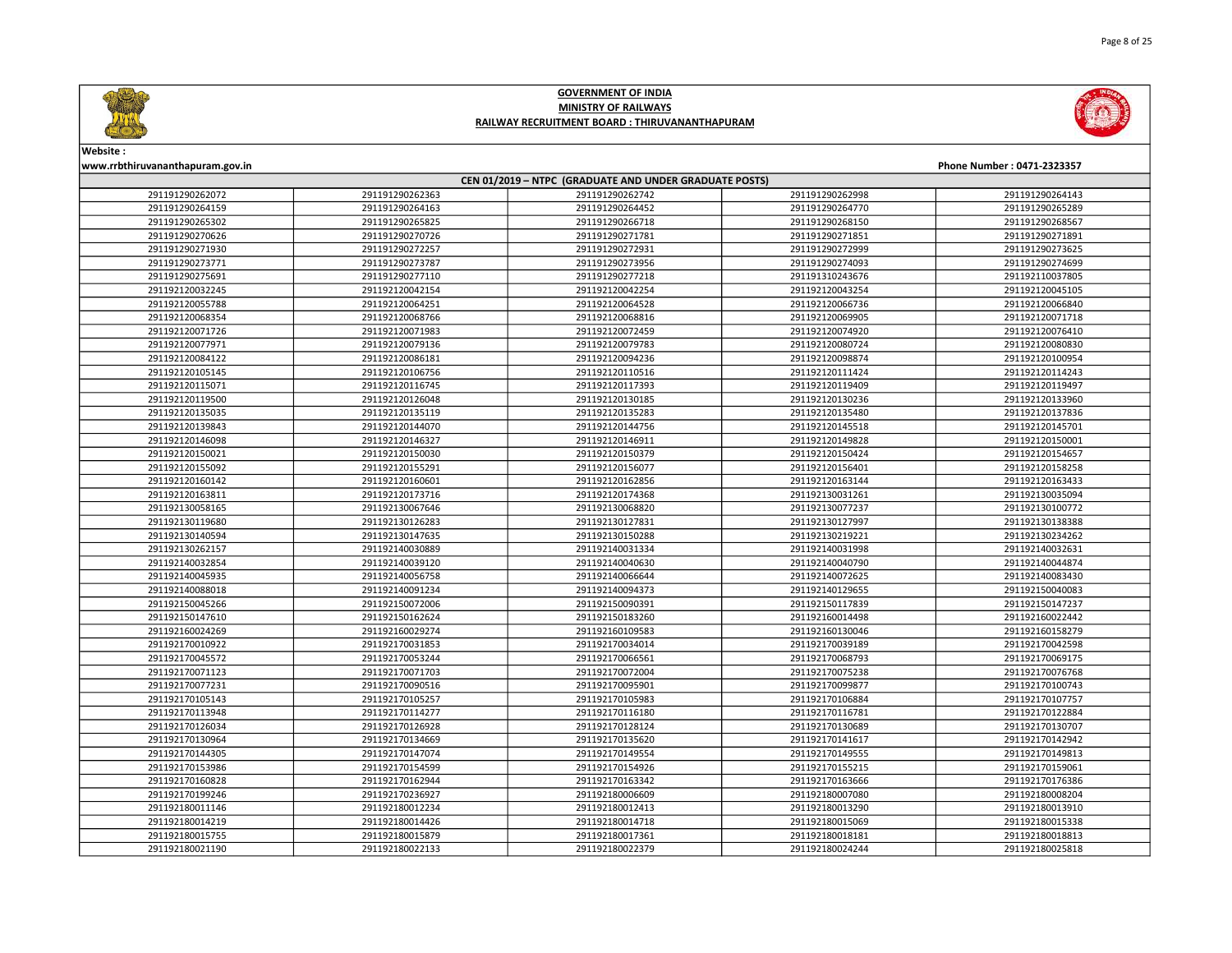

Page 8 of 25

# GOVERNMENT OF INDIA MINISTRY OF RAILWAYS RAILWAY RECRUITMENT BOARD : THIRUVANANTHAPURAM



| CEN 01/2019 - NTPC (GRADUATE AND UNDER GRADUATE POSTS) |                 |                 |                 |                 |  |
|--------------------------------------------------------|-----------------|-----------------|-----------------|-----------------|--|
| 291191290262072                                        | 291191290262363 | 291191290262742 | 291191290262998 | 291191290264143 |  |
| 291191290264159                                        | 291191290264163 | 291191290264452 | 291191290264770 | 291191290265289 |  |
| 291191290265302                                        | 291191290265825 | 291191290266718 | 291191290268150 | 291191290268567 |  |
| 291191290270626                                        | 291191290270726 | 291191290271781 | 291191290271851 | 291191290271891 |  |
| 291191290271930                                        | 291191290272257 | 291191290272931 | 291191290272999 | 291191290273625 |  |
| 291191290273771                                        | 291191290273787 | 291191290273956 | 291191290274093 | 291191290274699 |  |
| 291191290275691                                        | 291191290277110 | 291191290277218 | 291191310243676 | 291192110037805 |  |
| 291192120032245                                        | 291192120042154 | 291192120042254 | 291192120043254 | 291192120045105 |  |
| 291192120055788                                        | 291192120064251 | 291192120064528 | 291192120066736 | 291192120066840 |  |
| 291192120068354                                        | 291192120068766 | 291192120068816 | 291192120069905 | 291192120071718 |  |
| 291192120071726                                        | 291192120071983 | 291192120072459 | 291192120074920 | 291192120076410 |  |
| 291192120077971                                        | 291192120079136 | 291192120079783 | 291192120080724 | 291192120080830 |  |
| 291192120084122                                        | 291192120086181 | 291192120094236 | 291192120098874 | 291192120100954 |  |
| 291192120105145                                        | 291192120106756 | 291192120110516 | 291192120111424 | 291192120114243 |  |
| 291192120115071                                        | 291192120116745 | 291192120117393 | 291192120119409 | 291192120119497 |  |
| 291192120119500                                        | 291192120126048 | 291192120130185 | 291192120130236 | 291192120133960 |  |
| 291192120135035                                        | 291192120135119 | 291192120135283 | 291192120135480 | 291192120137836 |  |
| 291192120139843                                        | 291192120144070 | 291192120144756 | 291192120145518 | 291192120145701 |  |
| 291192120146098                                        | 291192120146327 | 291192120146911 | 291192120149828 | 291192120150001 |  |
| 291192120150021                                        | 291192120150030 | 291192120150379 | 291192120150424 | 291192120154657 |  |
| 291192120155092                                        | 291192120155291 | 291192120156077 | 291192120156401 | 291192120158258 |  |
| 291192120160142                                        | 291192120160601 | 291192120162856 | 291192120163144 | 291192120163433 |  |
| 291192120163811                                        | 291192120173716 | 291192120174368 | 291192130031261 | 291192130035094 |  |
| 291192130058165                                        | 291192130067646 | 291192130068820 | 291192130077237 | 291192130100772 |  |
| 291192130119680                                        | 291192130126283 | 291192130127831 | 291192130127997 | 291192130138388 |  |
| 291192130140594                                        | 291192130147635 | 291192130150288 | 291192130219221 | 291192130234262 |  |
| 291192130262157                                        | 291192140030889 | 291192140031334 | 291192140031998 | 291192140032631 |  |
| 291192140032854                                        | 291192140039120 | 291192140040630 | 291192140040790 | 291192140044874 |  |
| 291192140045935                                        | 291192140056758 | 291192140066644 | 291192140072625 | 291192140083430 |  |
| 291192140088018                                        | 291192140091234 | 291192140094373 | 291192140129655 | 291192150040083 |  |
| 291192150045266                                        | 291192150072006 | 291192150090391 | 291192150117839 | 291192150147237 |  |
| 291192150147610                                        | 291192150162624 | 291192150183260 | 291192160014498 | 291192160022442 |  |
| 291192160024269                                        | 291192160029274 | 291192160109583 | 291192160130046 | 291192160158279 |  |
| 291192170010922                                        | 291192170031853 | 291192170034014 | 291192170039189 | 291192170042598 |  |
| 291192170045572                                        | 291192170053244 | 291192170066561 | 291192170068793 | 291192170069175 |  |
| 291192170071123                                        | 291192170071703 | 291192170072004 | 291192170075238 | 291192170076768 |  |
| 291192170077231                                        | 291192170090516 | 291192170095901 | 291192170099877 | 291192170100743 |  |
| 291192170105143                                        | 291192170105257 | 291192170105983 | 291192170106884 | 291192170107757 |  |
| 291192170113948                                        | 291192170114277 | 291192170116180 | 291192170116781 | 291192170122884 |  |
| 291192170126034                                        | 291192170126928 | 291192170128124 | 291192170130689 | 291192170130707 |  |
| 291192170130964                                        | 291192170134669 | 291192170135620 | 291192170141617 | 291192170142942 |  |
| 291192170144305                                        | 291192170147074 | 291192170149554 | 291192170149555 | 291192170149813 |  |
| 291192170153986                                        | 291192170154599 | 291192170154926 | 291192170155215 | 291192170159061 |  |
| 291192170160828                                        | 291192170162944 | 291192170163342 | 291192170163666 | 291192170176386 |  |
| 291192170199246                                        | 291192170236927 | 291192180006609 | 291192180007080 | 291192180008204 |  |
| 291192180011146                                        | 291192180012234 | 291192180012413 | 291192180013290 | 291192180013910 |  |
| 291192180014219                                        | 291192180014426 | 291192180014718 | 291192180015069 | 291192180015338 |  |
| 291192180015755                                        | 291192180015879 | 291192180017361 | 291192180018181 | 291192180018813 |  |
| 291192180021190                                        | 291192180022133 | 291192180022379 | 291192180024244 | 291192180025818 |  |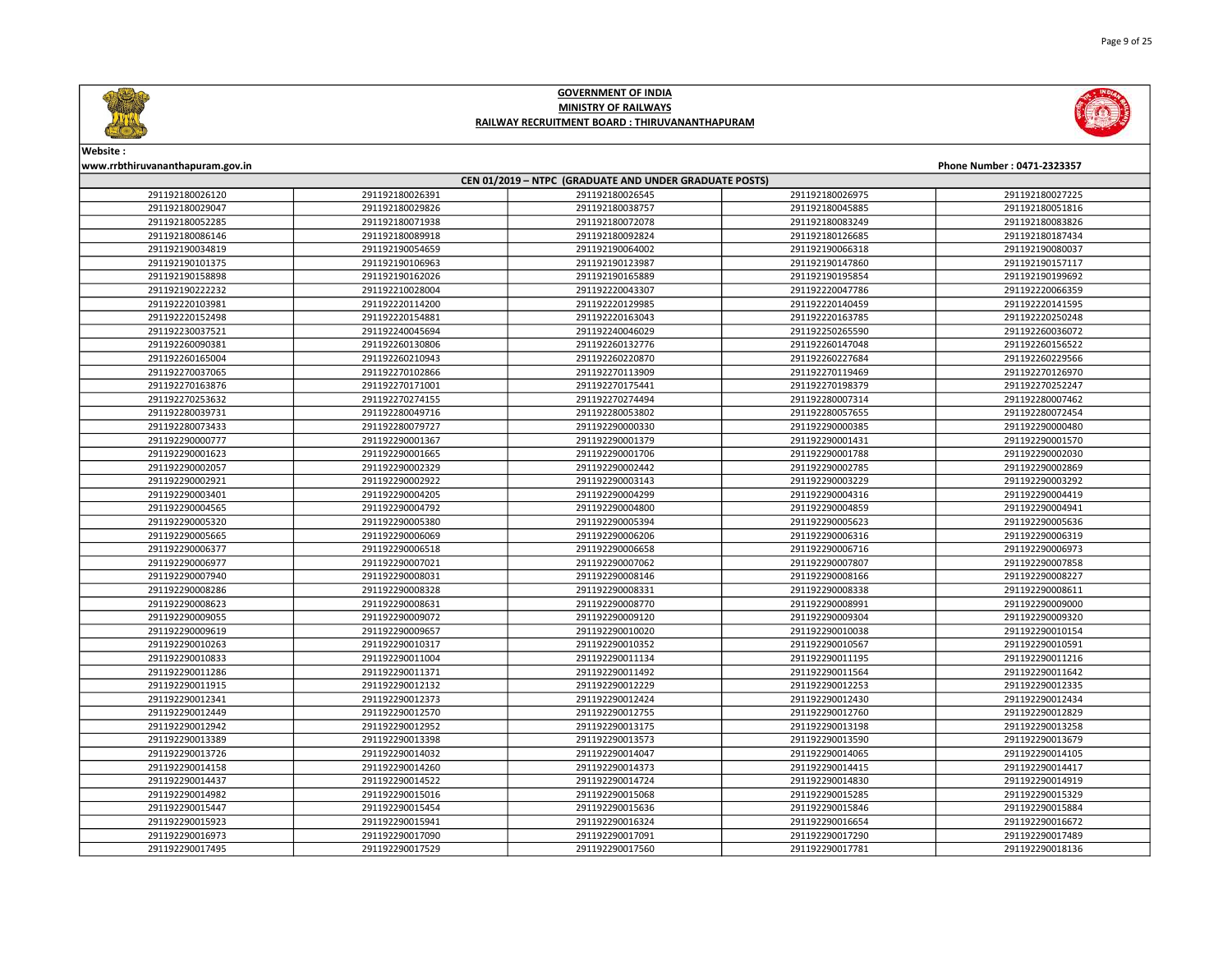





Website :

| CEN 01/2019 - NTPC (GRADUATE AND UNDER GRADUATE POSTS) |                 |                 |                 |                 |  |
|--------------------------------------------------------|-----------------|-----------------|-----------------|-----------------|--|
| 291192180026120                                        | 291192180026391 | 291192180026545 | 291192180026975 | 291192180027225 |  |
| 291192180029047                                        | 291192180029826 | 291192180038757 | 291192180045885 | 291192180051816 |  |
| 291192180052285                                        | 291192180071938 | 291192180072078 | 291192180083249 | 291192180083826 |  |
| 291192180086146                                        | 291192180089918 | 291192180092824 | 291192180126685 | 291192180187434 |  |
| 291192190034819                                        | 291192190054659 | 291192190064002 | 291192190066318 | 291192190080037 |  |
| 291192190101375                                        | 291192190106963 | 291192190123987 | 291192190147860 | 291192190157117 |  |
| 291192190158898                                        | 291192190162026 | 291192190165889 | 291192190195854 | 291192190199692 |  |
| 291192190222232                                        | 291192210028004 | 291192220043307 | 291192220047786 | 291192220066359 |  |
| 291192220103981                                        | 291192220114200 | 291192220129985 | 291192220140459 | 291192220141595 |  |
| 291192220152498                                        | 291192220154881 | 291192220163043 | 291192220163785 | 291192220250248 |  |
| 291192230037521                                        | 291192240045694 | 291192240046029 | 291192250265590 | 291192260036072 |  |
| 291192260090381                                        | 291192260130806 | 291192260132776 | 291192260147048 | 291192260156522 |  |
| 291192260165004                                        | 291192260210943 | 291192260220870 | 291192260227684 | 291192260229566 |  |
| 291192270037065                                        | 291192270102866 | 291192270113909 | 291192270119469 | 291192270126970 |  |
| 291192270163876                                        | 291192270171001 | 291192270175441 | 291192270198379 | 291192270252247 |  |
| 291192270253632                                        | 291192270274155 | 291192270274494 | 291192280007314 | 291192280007462 |  |
| 291192280039731                                        | 291192280049716 | 291192280053802 | 291192280057655 | 291192280072454 |  |
| 291192280073433                                        | 291192280079727 | 291192290000330 | 291192290000385 | 291192290000480 |  |
| 291192290000777                                        | 291192290001367 | 291192290001379 | 291192290001431 | 291192290001570 |  |
| 291192290001623                                        | 291192290001665 | 291192290001706 | 291192290001788 | 291192290002030 |  |
| 291192290002057                                        | 291192290002329 | 291192290002442 | 291192290002785 | 291192290002869 |  |
| 291192290002921                                        | 291192290002922 | 291192290003143 | 291192290003229 | 291192290003292 |  |
| 291192290003401                                        | 291192290004205 | 291192290004299 | 291192290004316 | 291192290004419 |  |
| 291192290004565                                        | 291192290004792 | 291192290004800 | 291192290004859 | 291192290004941 |  |
| 291192290005320                                        | 291192290005380 | 291192290005394 | 291192290005623 | 291192290005636 |  |
| 291192290005665                                        | 291192290006069 | 291192290006206 | 291192290006316 | 291192290006319 |  |
| 291192290006377                                        | 291192290006518 | 291192290006658 | 291192290006716 | 291192290006973 |  |
| 291192290006977                                        | 291192290007021 | 291192290007062 | 291192290007807 | 291192290007858 |  |
| 291192290007940                                        | 291192290008031 | 291192290008146 | 291192290008166 | 291192290008227 |  |
| 291192290008286                                        | 291192290008328 | 291192290008331 | 291192290008338 | 291192290008611 |  |
| 291192290008623                                        | 291192290008631 | 291192290008770 | 291192290008991 | 291192290009000 |  |
| 291192290009055                                        | 291192290009072 | 291192290009120 | 291192290009304 | 291192290009320 |  |
| 291192290009619                                        | 291192290009657 | 291192290010020 | 291192290010038 | 291192290010154 |  |
| 291192290010263                                        | 291192290010317 | 291192290010352 | 291192290010567 | 291192290010591 |  |
| 291192290010833                                        | 291192290011004 | 291192290011134 | 291192290011195 | 291192290011216 |  |
| 291192290011286                                        | 291192290011371 | 291192290011492 | 291192290011564 | 291192290011642 |  |
| 291192290011915                                        | 291192290012132 | 291192290012229 | 291192290012253 | 291192290012335 |  |
| 291192290012341                                        | 291192290012373 | 291192290012424 | 291192290012430 | 291192290012434 |  |
| 291192290012449                                        | 291192290012570 | 291192290012755 | 291192290012760 | 291192290012829 |  |
| 291192290012942                                        | 291192290012952 | 291192290013175 | 291192290013198 | 291192290013258 |  |
| 291192290013389                                        | 291192290013398 | 291192290013573 | 291192290013590 | 291192290013679 |  |
| 291192290013726                                        | 291192290014032 | 291192290014047 | 291192290014065 | 291192290014105 |  |
| 291192290014158                                        | 291192290014260 | 291192290014373 | 291192290014415 | 291192290014417 |  |
| 291192290014437                                        | 291192290014522 | 291192290014724 | 291192290014830 | 291192290014919 |  |
| 291192290014982                                        | 291192290015016 | 291192290015068 | 291192290015285 | 291192290015329 |  |
| 291192290015447                                        | 291192290015454 | 291192290015636 | 291192290015846 | 291192290015884 |  |
| 291192290015923                                        | 291192290015941 | 291192290016324 | 291192290016654 | 291192290016672 |  |
| 291192290016973                                        | 291192290017090 | 291192290017091 | 291192290017290 | 291192290017489 |  |
| 291192290017495                                        | 291192290017529 | 291192290017560 | 291192290017781 | 291192290018136 |  |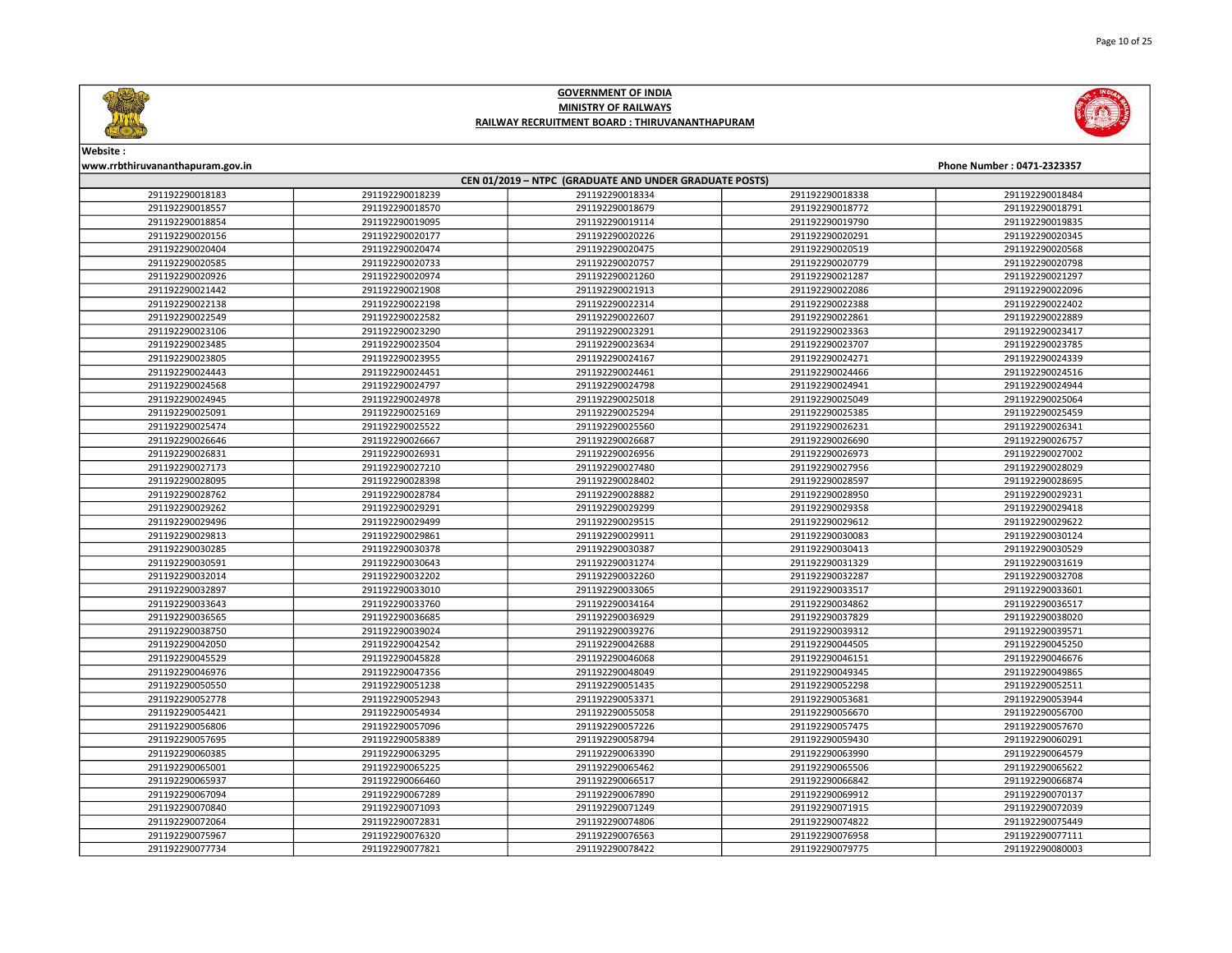



Website :

### www.rrbthiruvananthapuram.gov.in Phone Number : 0471-2323357 CEN 01/2019 – NTPC (GRADUATE AND UNDER GRADUATE POSTS) 291192290018239 291192290018334 291192290018338 291192290018484 291192290018570 291192290018679 291192290018772 291192290018791 291192290019095 291192290019114 291192290019790 291192290019835 291192290020177 291192290020226 291192290020291 291192290020345 291192290020474 291192290020475 291192290020519 291192290020568 291192290020733 291192290020757 291192290020779 291192290020798 291192290020974 291192290021260 291192290021287 291192290021297 291192290021908 291192290021913 291192290022086 291192290022096 291192290022198 291192290022314 291192290022388 291192290022402 291192290022582 291192290022607 291192290022861 291192290022889 291192290023290 291192290023291 291192290023363 291192290023417 291192290023504 291192290023634 291192290023707 291192290023785 291192290023955 291192290024167 291192290024271 291192290024339 291192290024451 291192290024461 291192290024466 291192290024516 291192290024797 291192290024798 291192290024941 291192290024944 291192290024978 291192290025018 291192290025049 291192290025064 291192290025169 291192290025294 291192290025385 291192290025459 291192290025522 291192290025560 291192290026231 291192290026341 291192290026667 291192290026687 291192290026690 291192290026757 291192290026931 291192290026956 291192290026973 291192290027002 291192290027210 291192290027480 291192290027956 291192290028029 291192290028398 291192290028402 291192290028597 291192290028695 291192290028784 291192290028882 291192290028950 291192290029231 291192290029291 291192290029299 291192290029358 291192290029418 291192290029499 291192290029515 291192290029612 291192290029622 291192290029861 291192290029911 291192290030083 291192290030124 291192290030378 291192290030387 291192290030413 291192290030529 291192290030643 291192290031274 291192290031329 291192290031619 291192290032202 291192290032260 291192290032287 291192290032708 291192290033010 291192290033065 291192290033517 291192290033601 291192290033760 291192290034164 291192290034862 291192290036517 291192290036685 291192290036929 291192290037829 291192290038020 291192290039024 291192290039276 291192290039312 291192290039571 291192290042542 291192290042688 291192290044505 291192290045250 291192290045828 291192290046068 291192290046151 291192290046676 291192290047356 291192290048049 291192290049345 291192290049865 291192290051238 291192290051435 291192290052298 291192290052511 291192290052943 291192290053371 291192290053681 291192290053944 291192290054934 291192290055058 291192290056670 291192290056700 291192290057096 291192290057226 291192290057475 291192290057670 291192290058389 291192290058794 291192290059430 291192290060291 291192290063295 291192290063390 291192290063990 291192290064579 291192290065225 291192290065462 291192290065506 291192290065622 291192290066460 291192290066517 291192290066842 291192290066874

 291192290067289 291192290067890 291192290069912 291192290070137 291192290071093 291192290071249 291192290071915 291192290072039 291192290072831 291192290074806 291192290074822 291192290075449 291192290076320 291192290076563 291192290076958 291192290077111 291192290077821 291192290078422 291192290079775 291192290080003

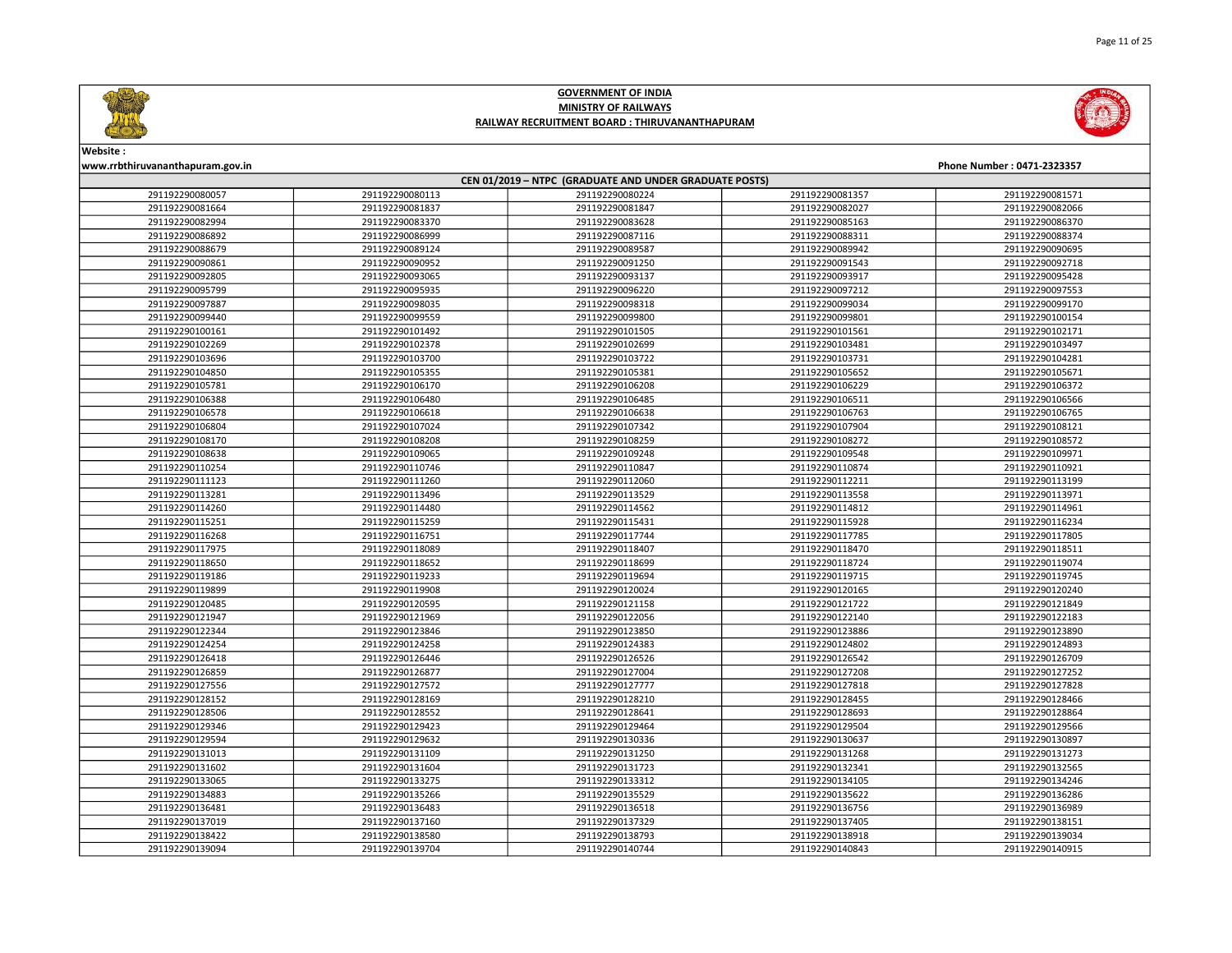





# Website :

| CEN 01/2019 - NTPC (GRADUATE AND UNDER GRADUATE POSTS) |                 |                 |                 |                 |  |
|--------------------------------------------------------|-----------------|-----------------|-----------------|-----------------|--|
| 291192290080057                                        | 291192290080113 | 291192290080224 | 291192290081357 | 291192290081571 |  |
| 291192290081664                                        | 291192290081837 | 291192290081847 | 291192290082027 | 291192290082066 |  |
| 291192290082994                                        | 291192290083370 | 291192290083628 | 291192290085163 | 291192290086370 |  |
| 291192290086892                                        | 291192290086999 | 291192290087116 | 291192290088311 | 291192290088374 |  |
| 291192290088679                                        | 291192290089124 | 291192290089587 | 291192290089942 | 291192290090695 |  |
| 291192290090861                                        | 291192290090952 | 291192290091250 | 291192290091543 | 291192290092718 |  |
| 291192290092805                                        | 291192290093065 | 291192290093137 | 291192290093917 | 291192290095428 |  |
| 291192290095799                                        | 291192290095935 | 291192290096220 | 291192290097212 | 291192290097553 |  |
| 291192290097887                                        | 291192290098035 | 291192290098318 | 291192290099034 | 291192290099170 |  |
| 291192290099440                                        | 291192290099559 | 291192290099800 | 291192290099801 | 291192290100154 |  |
| 291192290100161                                        | 291192290101492 | 291192290101505 | 291192290101561 | 291192290102171 |  |
| 291192290102269                                        | 291192290102378 | 291192290102699 | 291192290103481 | 291192290103497 |  |
| 291192290103696                                        | 291192290103700 | 291192290103722 | 291192290103731 | 291192290104281 |  |
| 291192290104850                                        | 291192290105355 | 291192290105381 | 291192290105652 | 291192290105671 |  |
| 291192290105781                                        | 291192290106170 | 291192290106208 | 291192290106229 | 291192290106372 |  |
| 291192290106388                                        | 291192290106480 | 291192290106485 | 291192290106511 | 291192290106566 |  |
| 291192290106578                                        | 291192290106618 | 291192290106638 | 291192290106763 | 291192290106765 |  |
| 291192290106804                                        | 291192290107024 | 291192290107342 | 291192290107904 | 291192290108121 |  |
| 291192290108170                                        | 291192290108208 | 291192290108259 | 291192290108272 | 291192290108572 |  |
| 291192290108638                                        | 291192290109065 | 291192290109248 | 291192290109548 | 291192290109971 |  |
| 291192290110254                                        | 291192290110746 | 291192290110847 | 291192290110874 | 291192290110921 |  |
| 291192290111123                                        | 291192290111260 | 291192290112060 | 291192290112211 | 291192290113199 |  |
| 291192290113281                                        | 291192290113496 | 291192290113529 | 291192290113558 | 291192290113971 |  |
| 291192290114260                                        | 291192290114480 | 291192290114562 | 291192290114812 | 291192290114961 |  |
| 291192290115251                                        | 291192290115259 | 291192290115431 | 291192290115928 | 291192290116234 |  |
| 291192290116268                                        | 291192290116751 | 291192290117744 | 291192290117785 | 291192290117805 |  |
| 291192290117975                                        | 291192290118089 | 291192290118407 | 291192290118470 | 291192290118511 |  |
| 291192290118650                                        | 291192290118652 | 291192290118699 | 291192290118724 | 291192290119074 |  |
| 291192290119186                                        | 291192290119233 | 291192290119694 | 291192290119715 | 291192290119745 |  |
| 291192290119899                                        | 291192290119908 | 291192290120024 | 291192290120165 | 291192290120240 |  |
| 291192290120485                                        | 291192290120595 | 291192290121158 | 291192290121722 | 291192290121849 |  |
| 291192290121947                                        | 291192290121969 | 291192290122056 | 291192290122140 | 291192290122183 |  |
| 291192290122344                                        | 291192290123846 | 291192290123850 | 291192290123886 | 291192290123890 |  |
| 291192290124254                                        | 291192290124258 | 291192290124383 | 291192290124802 | 291192290124893 |  |
| 291192290126418                                        | 291192290126446 | 291192290126526 | 291192290126542 | 291192290126709 |  |
| 291192290126859                                        | 291192290126877 | 291192290127004 | 291192290127208 | 291192290127252 |  |
| 291192290127556                                        | 291192290127572 | 291192290127777 | 291192290127818 | 291192290127828 |  |
| 291192290128152                                        | 291192290128169 | 291192290128210 | 291192290128455 | 291192290128466 |  |
| 291192290128506                                        | 291192290128552 | 291192290128641 | 291192290128693 | 291192290128864 |  |
| 291192290129346                                        | 291192290129423 | 291192290129464 | 291192290129504 | 291192290129566 |  |
| 291192290129594                                        | 291192290129632 | 291192290130336 | 291192290130637 | 291192290130897 |  |
| 291192290131013                                        | 291192290131109 | 291192290131250 | 291192290131268 | 291192290131273 |  |
| 291192290131602                                        | 291192290131604 | 291192290131723 | 291192290132341 | 291192290132565 |  |
| 291192290133065                                        | 291192290133275 | 291192290133312 | 291192290134105 | 291192290134246 |  |
| 291192290134883                                        | 291192290135266 | 291192290135529 | 291192290135622 | 291192290136286 |  |
| 291192290136481                                        | 291192290136483 | 291192290136518 | 291192290136756 | 291192290136989 |  |
| 291192290137019                                        | 291192290137160 | 291192290137329 | 291192290137405 | 291192290138151 |  |
| 291192290138422                                        | 291192290138580 | 291192290138793 | 291192290138918 | 291192290139034 |  |
| 291192290139094                                        | 291192290139704 | 291192290140744 | 291192290140843 | 291192290140915 |  |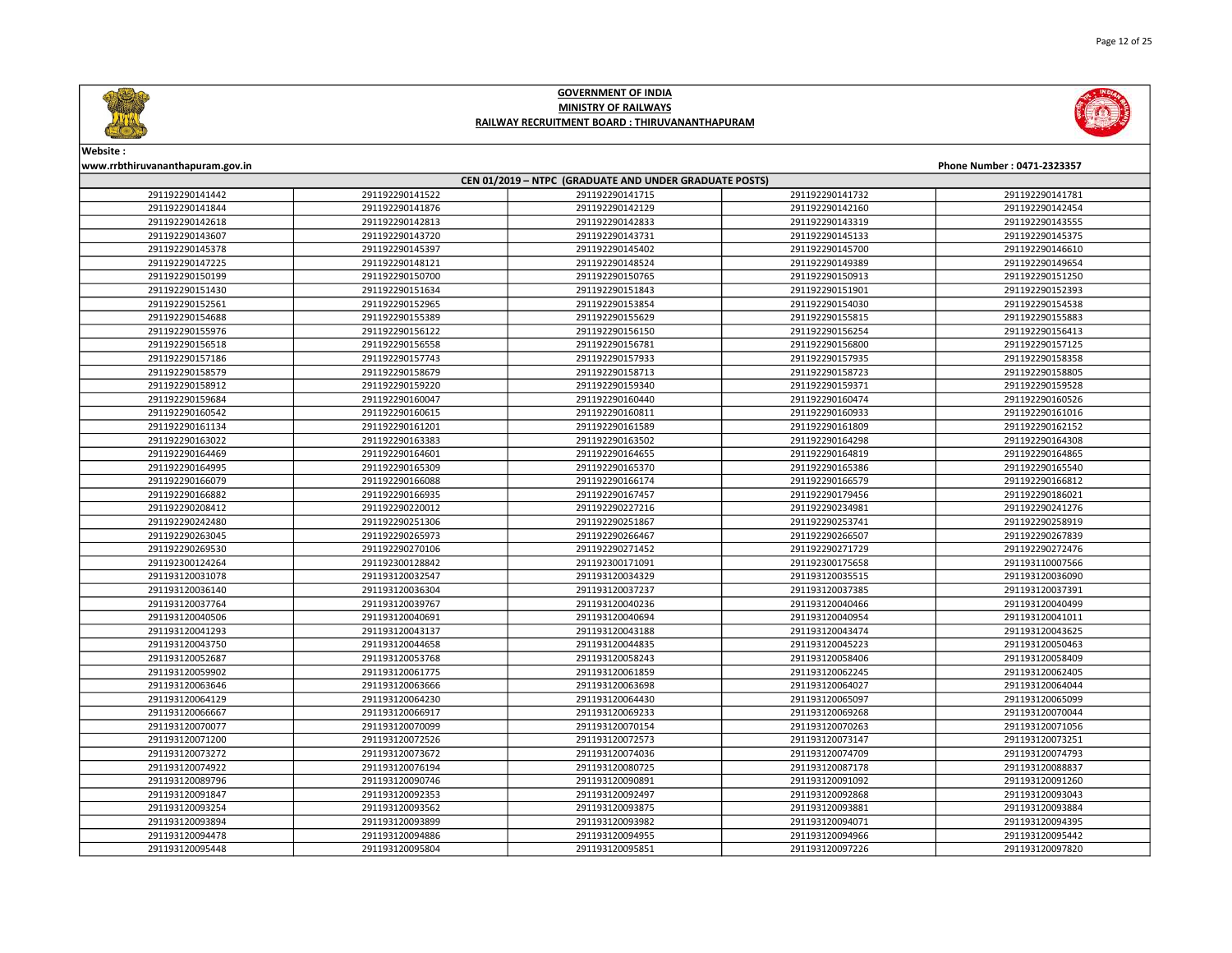



| CEN 01/2019 - NTPC (GRADUATE AND UNDER GRADUATE POSTS) |                 |                 |                 |                 |  |
|--------------------------------------------------------|-----------------|-----------------|-----------------|-----------------|--|
| 291192290141442                                        | 291192290141522 | 291192290141715 | 291192290141732 | 291192290141781 |  |
| 291192290141844                                        | 291192290141876 | 291192290142129 | 291192290142160 | 291192290142454 |  |
| 291192290142618                                        | 291192290142813 | 291192290142833 | 291192290143319 | 291192290143555 |  |
| 291192290143607                                        | 291192290143720 | 291192290143731 | 291192290145133 | 291192290145375 |  |
| 291192290145378                                        | 291192290145397 | 291192290145402 | 291192290145700 | 291192290146610 |  |
| 291192290147225                                        | 291192290148121 | 291192290148524 | 291192290149389 | 291192290149654 |  |
| 291192290150199                                        | 291192290150700 | 291192290150765 | 291192290150913 | 291192290151250 |  |
| 291192290151430                                        | 291192290151634 | 291192290151843 | 291192290151901 | 291192290152393 |  |
| 291192290152561                                        | 291192290152965 | 291192290153854 | 291192290154030 | 291192290154538 |  |
| 291192290154688                                        | 291192290155389 | 291192290155629 | 291192290155815 | 291192290155883 |  |
| 291192290155976                                        | 291192290156122 | 291192290156150 | 291192290156254 | 291192290156413 |  |
| 291192290156518                                        | 291192290156558 | 291192290156781 | 291192290156800 | 291192290157125 |  |
| 291192290157186                                        | 291192290157743 | 291192290157933 | 291192290157935 | 291192290158358 |  |
| 291192290158579                                        | 291192290158679 | 291192290158713 | 291192290158723 | 291192290158805 |  |
| 291192290158912                                        | 291192290159220 | 291192290159340 | 291192290159371 | 291192290159528 |  |
| 291192290159684                                        | 291192290160047 | 291192290160440 | 291192290160474 | 291192290160526 |  |
| 291192290160542                                        | 291192290160615 | 291192290160811 | 291192290160933 | 291192290161016 |  |
| 291192290161134                                        | 291192290161201 | 291192290161589 | 291192290161809 | 291192290162152 |  |
| 291192290163022                                        | 291192290163383 | 291192290163502 | 291192290164298 | 291192290164308 |  |
| 291192290164469                                        | 291192290164601 | 291192290164655 | 291192290164819 | 291192290164865 |  |
| 291192290164995                                        | 291192290165309 | 291192290165370 | 291192290165386 | 291192290165540 |  |
| 291192290166079                                        | 291192290166088 | 291192290166174 | 291192290166579 | 291192290166812 |  |
| 291192290166882                                        | 291192290166935 | 291192290167457 | 291192290179456 | 291192290186021 |  |
| 291192290208412                                        | 291192290220012 | 291192290227216 | 291192290234981 | 291192290241276 |  |
| 291192290242480                                        | 291192290251306 | 291192290251867 | 291192290253741 | 291192290258919 |  |
| 291192290263045                                        | 291192290265973 | 291192290266467 | 291192290266507 | 291192290267839 |  |
| 291192290269530                                        | 291192290270106 | 291192290271452 | 291192290271729 | 291192290272476 |  |
| 291192300124264                                        | 291192300128842 | 291192300171091 | 291192300175658 | 291193110007566 |  |
| 291193120031078                                        | 291193120032547 | 291193120034329 | 291193120035515 | 291193120036090 |  |
| 291193120036140                                        | 291193120036304 | 291193120037237 | 291193120037385 | 291193120037391 |  |
| 291193120037764                                        | 291193120039767 | 291193120040236 | 291193120040466 | 291193120040499 |  |
| 291193120040506                                        | 291193120040691 | 291193120040694 | 291193120040954 | 291193120041011 |  |
| 291193120041293                                        | 291193120043137 | 291193120043188 | 291193120043474 | 291193120043625 |  |
| 291193120043750                                        | 291193120044658 | 291193120044835 | 291193120045223 | 291193120050463 |  |
| 291193120052687                                        | 291193120053768 | 291193120058243 | 291193120058406 | 291193120058409 |  |
| 291193120059902                                        | 291193120061775 | 291193120061859 | 291193120062245 | 291193120062405 |  |
| 291193120063646                                        | 291193120063666 | 291193120063698 | 291193120064027 | 291193120064044 |  |
| 291193120064129                                        | 291193120064230 | 291193120064430 | 291193120065097 | 291193120065099 |  |
| 291193120066667                                        | 291193120066917 | 291193120069233 | 291193120069268 | 291193120070044 |  |
| 291193120070077                                        | 291193120070099 | 291193120070154 | 291193120070263 | 291193120071056 |  |
| 291193120071200                                        | 291193120072526 | 291193120072573 | 291193120073147 | 291193120073251 |  |
| 291193120073272                                        | 291193120073672 | 291193120074036 | 291193120074709 | 291193120074793 |  |
| 291193120074922                                        | 291193120076194 | 291193120080725 | 291193120087178 | 291193120088837 |  |
| 291193120089796                                        | 291193120090746 | 291193120090891 | 291193120091092 | 291193120091260 |  |
| 291193120091847                                        | 291193120092353 | 291193120092497 | 291193120092868 | 291193120093043 |  |
| 291193120093254                                        | 291193120093562 | 291193120093875 | 291193120093881 | 291193120093884 |  |
| 291193120093894                                        | 291193120093899 | 291193120093982 | 291193120094071 | 291193120094395 |  |
| 291193120094478                                        | 291193120094886 | 291193120094955 | 291193120094966 | 291193120095442 |  |
| 291193120095448                                        | 291193120095804 | 291193120095851 | 291193120097226 | 291193120097820 |  |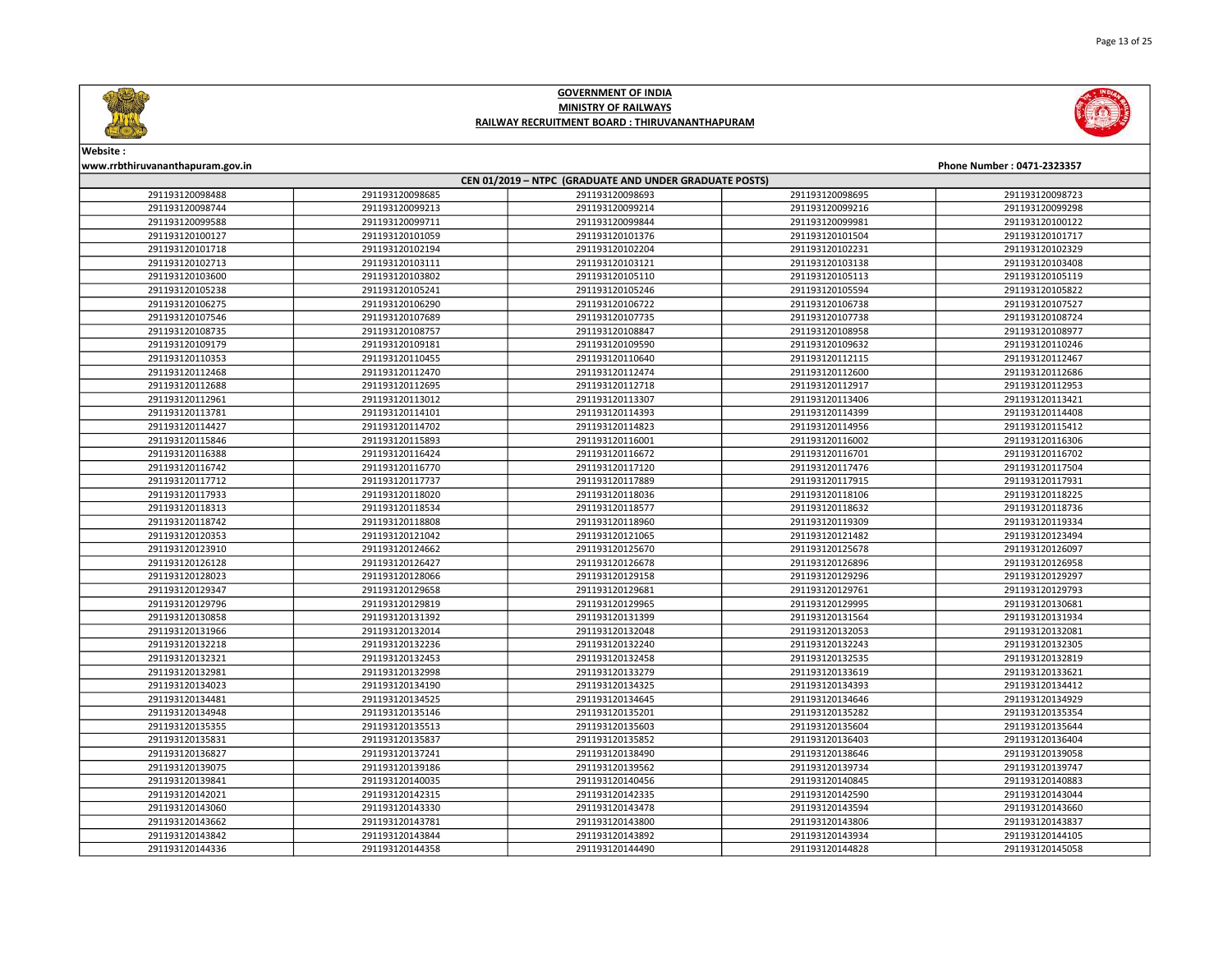

Page 13 of 25

# GOVERNMENT OF INDIA MINISTRY OF RAILWAYS RAILWAY RECRUITMENT BOARD : THIRUVANANTHAPURAM



| CEN 01/2019 - NTPC (GRADUATE AND UNDER GRADUATE POSTS) |                 |                 |                 |                 |  |
|--------------------------------------------------------|-----------------|-----------------|-----------------|-----------------|--|
| 291193120098488                                        | 291193120098685 | 291193120098693 | 291193120098695 | 291193120098723 |  |
| 291193120098744                                        | 291193120099213 | 291193120099214 | 291193120099216 | 291193120099298 |  |
| 291193120099588                                        | 291193120099711 | 291193120099844 | 291193120099981 | 291193120100122 |  |
| 291193120100127                                        | 291193120101059 | 291193120101376 | 291193120101504 | 291193120101717 |  |
| 291193120101718                                        | 291193120102194 | 291193120102204 | 291193120102231 | 291193120102329 |  |
| 291193120102713                                        | 291193120103111 | 291193120103121 | 291193120103138 | 291193120103408 |  |
| 291193120103600                                        | 291193120103802 | 291193120105110 | 291193120105113 | 291193120105119 |  |
| 291193120105238                                        | 291193120105241 | 291193120105246 | 291193120105594 | 291193120105822 |  |
| 291193120106275                                        | 291193120106290 | 291193120106722 | 291193120106738 | 291193120107527 |  |
| 291193120107546                                        | 291193120107689 | 291193120107735 | 291193120107738 | 291193120108724 |  |
| 291193120108735                                        | 291193120108757 | 291193120108847 | 291193120108958 | 291193120108977 |  |
| 291193120109179                                        | 291193120109181 | 291193120109590 | 291193120109632 | 291193120110246 |  |
| 291193120110353                                        | 291193120110455 | 291193120110640 | 291193120112115 | 291193120112467 |  |
| 291193120112468                                        | 291193120112470 | 291193120112474 | 291193120112600 | 291193120112686 |  |
| 291193120112688                                        | 291193120112695 | 291193120112718 | 291193120112917 | 291193120112953 |  |
| 291193120112961                                        | 291193120113012 | 291193120113307 | 291193120113406 | 291193120113421 |  |
| 291193120113781                                        | 291193120114101 | 291193120114393 | 291193120114399 | 291193120114408 |  |
| 291193120114427                                        | 291193120114702 | 291193120114823 | 291193120114956 | 291193120115412 |  |
| 291193120115846                                        | 291193120115893 | 291193120116001 | 291193120116002 | 291193120116306 |  |
| 291193120116388                                        | 291193120116424 | 291193120116672 | 291193120116701 | 291193120116702 |  |
| 291193120116742                                        | 291193120116770 | 291193120117120 | 291193120117476 | 291193120117504 |  |
| 291193120117712                                        | 291193120117737 | 291193120117889 | 291193120117915 | 291193120117931 |  |
| 291193120117933                                        | 291193120118020 | 291193120118036 | 291193120118106 | 291193120118225 |  |
| 291193120118313                                        | 291193120118534 | 291193120118577 | 291193120118632 | 291193120118736 |  |
| 291193120118742                                        | 291193120118808 | 291193120118960 | 291193120119309 | 291193120119334 |  |
| 291193120120353                                        | 291193120121042 | 291193120121065 | 291193120121482 | 291193120123494 |  |
| 291193120123910                                        | 291193120124662 | 291193120125670 | 291193120125678 | 291193120126097 |  |
| 291193120126128                                        | 291193120126427 | 291193120126678 | 291193120126896 | 291193120126958 |  |
| 291193120128023                                        | 291193120128066 | 291193120129158 | 291193120129296 | 291193120129297 |  |
| 291193120129347                                        | 291193120129658 | 291193120129681 | 291193120129761 | 291193120129793 |  |
| 291193120129796                                        | 291193120129819 | 291193120129965 | 291193120129995 | 291193120130681 |  |
| 291193120130858                                        | 291193120131392 | 291193120131399 | 291193120131564 | 291193120131934 |  |
| 291193120131966                                        | 291193120132014 | 291193120132048 | 291193120132053 | 291193120132081 |  |
| 291193120132218                                        | 291193120132236 | 291193120132240 | 291193120132243 | 291193120132305 |  |
| 291193120132321                                        | 291193120132453 | 291193120132458 | 291193120132535 | 291193120132819 |  |
| 291193120132981                                        | 291193120132998 | 291193120133279 | 291193120133619 | 291193120133621 |  |
| 291193120134023                                        | 291193120134190 | 291193120134325 | 291193120134393 | 291193120134412 |  |
| 291193120134481                                        | 291193120134525 | 291193120134645 | 291193120134646 | 291193120134929 |  |
| 291193120134948                                        | 291193120135146 | 291193120135201 | 291193120135282 | 291193120135354 |  |
| 291193120135355                                        | 291193120135513 | 291193120135603 | 291193120135604 | 291193120135644 |  |
| 291193120135831                                        | 291193120135837 | 291193120135852 | 291193120136403 | 291193120136404 |  |
| 291193120136827                                        | 291193120137241 | 291193120138490 | 291193120138646 | 291193120139058 |  |
| 291193120139075                                        | 291193120139186 | 291193120139562 | 291193120139734 | 291193120139747 |  |
| 291193120139841                                        | 291193120140035 | 291193120140456 | 291193120140845 | 291193120140883 |  |
| 291193120142021                                        | 291193120142315 | 291193120142335 | 291193120142590 | 291193120143044 |  |
| 291193120143060                                        | 291193120143330 | 291193120143478 | 291193120143594 | 291193120143660 |  |
| 291193120143662                                        | 291193120143781 | 291193120143800 | 291193120143806 | 291193120143837 |  |
| 291193120143842                                        | 291193120143844 | 291193120143892 | 291193120143934 | 291193120144105 |  |
| 291193120144336                                        | 291193120144358 | 291193120144490 | 291193120144828 | 291193120145058 |  |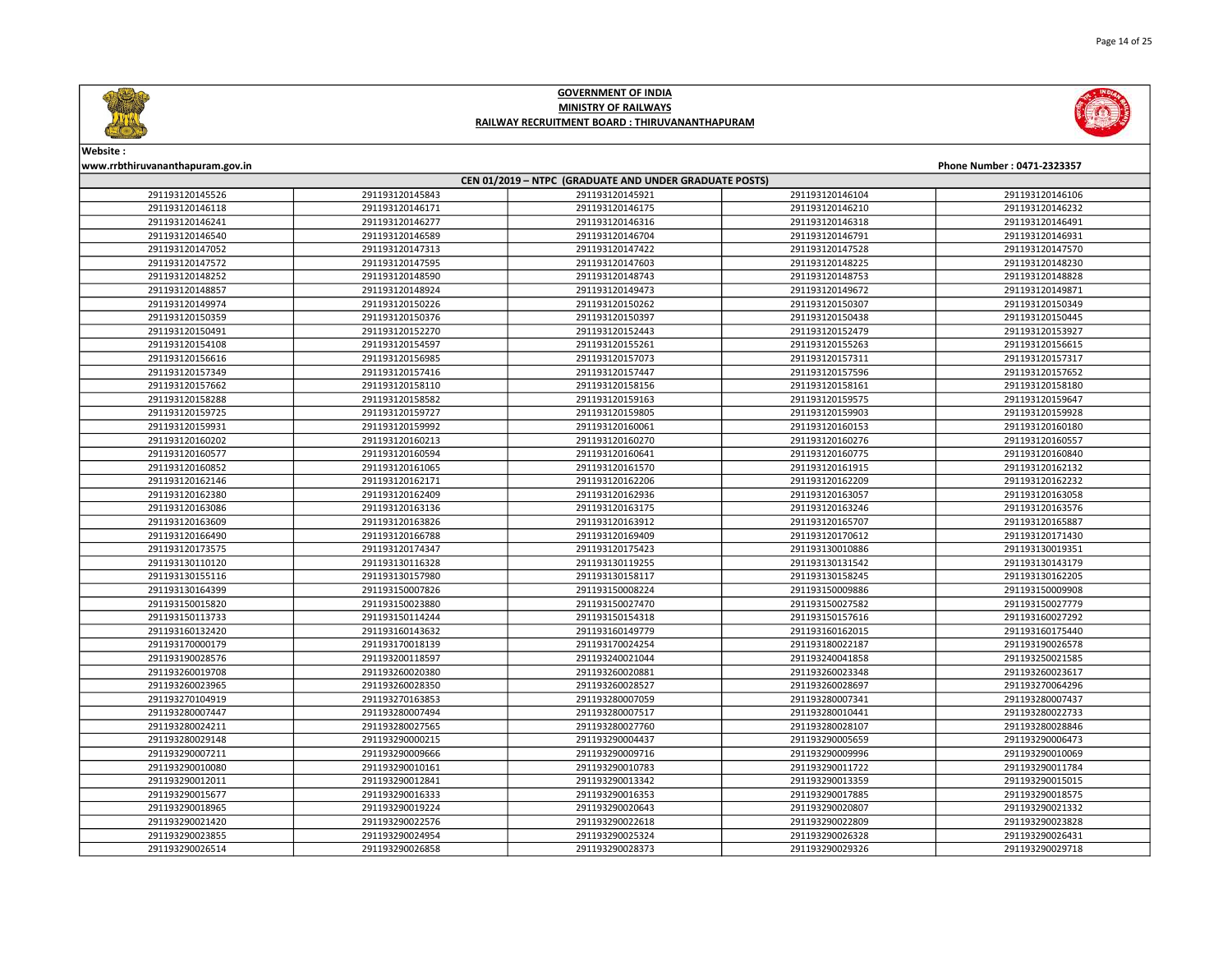

Page 14 of 25

Website :

# GOVERNMENT OF INDIA MINISTRY OF RAILWAYS RAILWAY RECRUITMENT BOARD : THIRUVANANTHAPURAM



# www.rrbthiruvananthapuram.gov.in Phone Number : 0471-2323357 CEN 01/2019 – NTPC (GRADUATE AND UNDER GRADUATE POSTS) 291193120145843 291193120145921 291193120146104 291193120146106 291193120146171 291193120146175 291193120146210 291193120146232 291193120146277 291193120146316 291193120146318 291193120146491

| 291193120146540 | 291193120146589 | 291193120146704 | 291193120146791 | 291193120146931 |
|-----------------|-----------------|-----------------|-----------------|-----------------|
| 291193120147052 | 291193120147313 | 291193120147422 | 291193120147528 | 291193120147570 |
| 291193120147572 | 291193120147595 | 291193120147603 | 291193120148225 | 291193120148230 |
| 291193120148252 | 291193120148590 | 291193120148743 | 291193120148753 | 291193120148828 |
| 291193120148857 | 291193120148924 | 291193120149473 | 291193120149672 | 291193120149871 |
| 291193120149974 | 291193120150226 | 291193120150262 | 291193120150307 | 291193120150349 |
| 291193120150359 | 291193120150376 | 291193120150397 | 291193120150438 | 291193120150445 |
| 291193120150491 | 291193120152270 | 291193120152443 | 291193120152479 | 291193120153927 |
| 291193120154108 | 291193120154597 | 291193120155261 | 291193120155263 | 291193120156615 |
| 291193120156616 | 291193120156985 | 291193120157073 | 291193120157311 | 291193120157317 |
| 291193120157349 | 291193120157416 | 291193120157447 | 291193120157596 | 291193120157652 |
| 291193120157662 | 291193120158110 | 291193120158156 | 291193120158161 | 291193120158180 |
| 291193120158288 | 291193120158582 | 291193120159163 | 291193120159575 | 291193120159647 |
| 291193120159725 | 291193120159727 | 291193120159805 | 291193120159903 | 291193120159928 |
| 291193120159931 | 291193120159992 | 291193120160061 | 291193120160153 | 291193120160180 |
| 291193120160202 | 291193120160213 | 291193120160270 | 291193120160276 | 291193120160557 |
| 291193120160577 | 291193120160594 | 291193120160641 | 291193120160775 | 291193120160840 |
| 291193120160852 | 291193120161065 | 291193120161570 | 291193120161915 | 291193120162132 |
| 291193120162146 | 291193120162171 | 291193120162206 | 291193120162209 | 291193120162232 |
| 291193120162380 | 291193120162409 | 291193120162936 | 291193120163057 | 291193120163058 |
| 291193120163086 | 291193120163136 | 291193120163175 | 291193120163246 | 291193120163576 |
| 291193120163609 | 291193120163826 | 291193120163912 | 291193120165707 | 291193120165887 |
| 291193120166490 | 291193120166788 | 291193120169409 | 291193120170612 | 291193120171430 |
| 291193120173575 | 291193120174347 | 291193120175423 | 291193130010886 | 291193130019351 |
| 291193130110120 | 291193130116328 | 291193130119255 | 291193130131542 | 291193130143179 |
| 291193130155116 | 291193130157980 | 291193130158117 | 291193130158245 | 291193130162205 |
| 291193130164399 | 291193150007826 | 291193150008224 | 291193150009886 | 291193150009908 |
| 291193150015820 | 291193150023880 | 291193150027470 | 291193150027582 | 291193150027779 |
| 291193150113733 | 291193150114244 | 291193150154318 | 291193150157616 | 291193160027292 |
| 291193160132420 | 291193160143632 | 291193160149779 | 291193160162015 | 291193160175440 |
| 291193170000179 | 291193170018139 | 291193170024254 | 291193180022187 | 291193190026578 |
| 291193190028576 | 291193200118597 | 291193240021044 | 291193240041858 | 291193250021585 |
| 291193260019708 | 291193260020380 | 291193260020881 | 291193260023348 | 291193260023617 |
| 291193260023965 | 291193260028350 | 291193260028527 | 291193260028697 | 291193270064296 |
| 291193270104919 | 291193270163853 | 291193280007059 | 291193280007341 | 291193280007437 |
| 291193280007447 | 291193280007494 | 291193280007517 | 291193280010441 | 291193280022733 |
| 291193280024211 | 291193280027565 | 291193280027760 | 291193280028107 | 291193280028846 |
| 291193280029148 | 291193290000215 | 291193290004437 | 291193290005659 | 291193290006473 |
| 291193290007211 | 291193290009666 | 291193290009716 | 291193290009996 | 291193290010069 |
| 291193290010080 | 291193290010161 | 291193290010783 | 291193290011722 | 291193290011784 |
| 291193290012011 | 291193290012841 | 291193290013342 | 291193290013359 | 291193290015015 |
| 291193290015677 | 291193290016333 | 291193290016353 | 291193290017885 | 291193290018575 |
| 291193290018965 | 291193290019224 | 291193290020643 | 291193290020807 | 291193290021332 |
| 291193290021420 | 291193290022576 | 291193290022618 | 291193290022809 | 291193290023828 |
| 291193290023855 | 291193290024954 | 291193290025324 | 291193290026328 | 291193290026431 |
| 291193290026514 | 291193290026858 | 291193290028373 | 291193290029326 | 291193290029718 |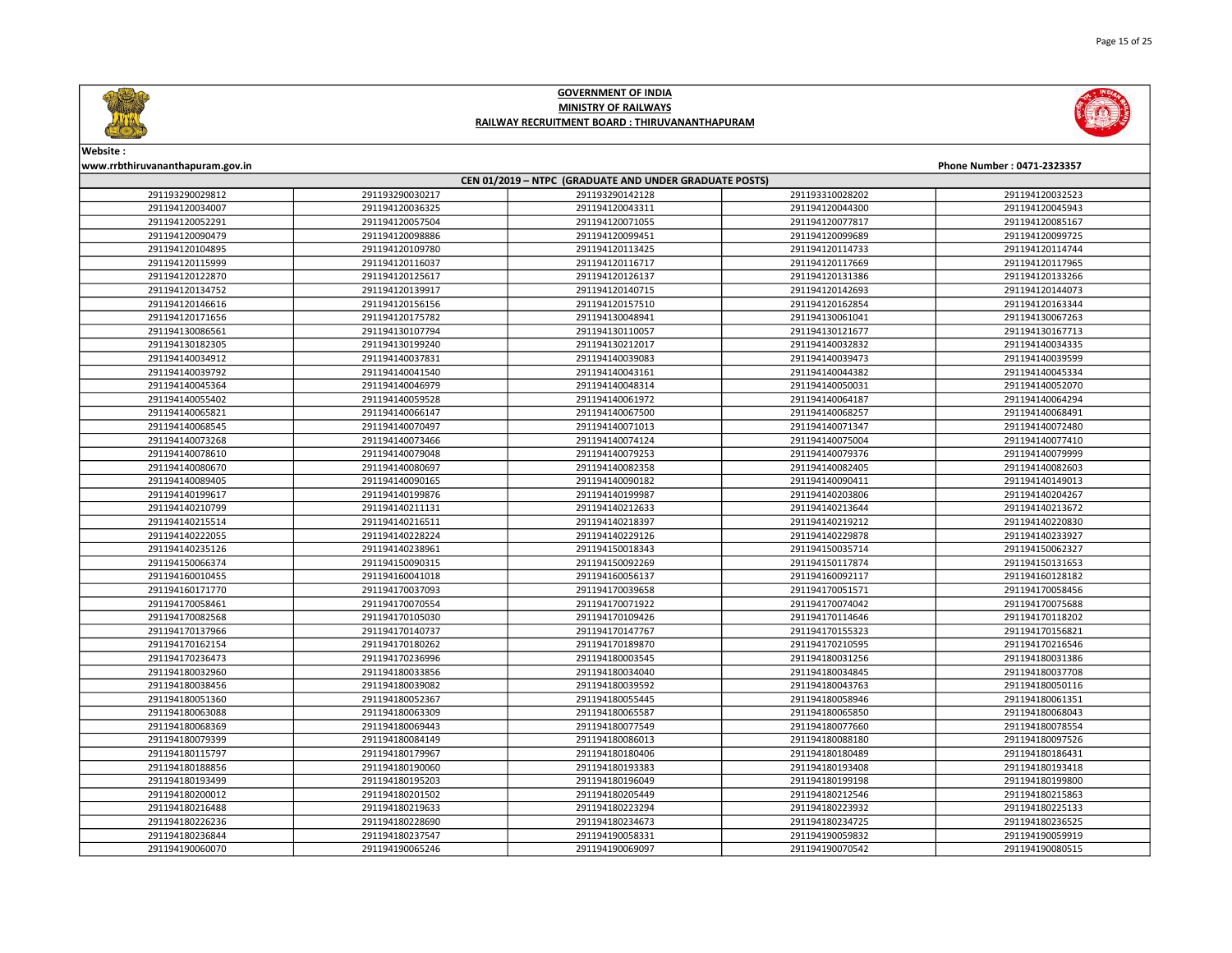





# Website :

| CEN 01/2019 - NTPC (GRADUATE AND UNDER GRADUATE POSTS) |                 |                 |                 |                 |
|--------------------------------------------------------|-----------------|-----------------|-----------------|-----------------|
| 291193290029812                                        | 291193290030217 | 291193290142128 | 291193310028202 | 291194120032523 |
| 291194120034007                                        | 291194120036325 | 291194120043311 | 291194120044300 | 291194120045943 |
| 291194120052291                                        | 291194120057504 | 291194120071055 | 291194120077817 | 291194120085167 |
| 291194120090479                                        | 291194120098886 | 291194120099451 | 291194120099689 | 291194120099725 |
| 291194120104895                                        | 291194120109780 | 291194120113425 | 291194120114733 | 291194120114744 |
| 291194120115999                                        | 291194120116037 | 291194120116717 | 291194120117669 | 291194120117965 |
| 291194120122870                                        | 291194120125617 | 291194120126137 | 291194120131386 | 291194120133266 |
| 291194120134752                                        | 291194120139917 | 291194120140715 | 291194120142693 | 291194120144073 |
| 291194120146616                                        | 291194120156156 | 291194120157510 | 291194120162854 | 291194120163344 |
| 291194120171656                                        | 291194120175782 | 291194130048941 | 291194130061041 | 291194130067263 |
| 291194130086561                                        | 291194130107794 | 291194130110057 | 291194130121677 | 291194130167713 |
| 291194130182305                                        | 291194130199240 | 291194130212017 | 291194140032832 | 291194140034335 |
| 291194140034912                                        | 291194140037831 | 291194140039083 | 291194140039473 | 291194140039599 |
| 291194140039792                                        | 291194140041540 | 291194140043161 | 291194140044382 | 291194140045334 |
| 291194140045364                                        | 291194140046979 | 291194140048314 | 291194140050031 | 291194140052070 |
| 291194140055402                                        | 291194140059528 | 291194140061972 | 291194140064187 | 291194140064294 |
| 291194140065821                                        | 291194140066147 | 291194140067500 | 291194140068257 | 291194140068491 |
| 291194140068545                                        | 291194140070497 | 291194140071013 | 291194140071347 | 291194140072480 |
| 291194140073268                                        | 291194140073466 | 291194140074124 | 291194140075004 | 291194140077410 |
| 291194140078610                                        | 291194140079048 | 291194140079253 | 291194140079376 | 291194140079999 |
| 291194140080670                                        | 291194140080697 | 291194140082358 | 291194140082405 | 291194140082603 |
| 291194140089405                                        | 291194140090165 | 291194140090182 | 291194140090411 | 291194140149013 |
| 291194140199617                                        | 291194140199876 | 291194140199987 | 291194140203806 | 291194140204267 |
| 291194140210799                                        | 291194140211131 | 291194140212633 | 291194140213644 | 291194140213672 |
| 291194140215514                                        | 291194140216511 | 291194140218397 | 291194140219212 | 291194140220830 |
| 291194140222055                                        | 291194140228224 | 291194140229126 | 291194140229878 | 291194140233927 |
| 291194140235126                                        | 291194140238961 | 291194150018343 | 291194150035714 | 291194150062327 |
| 291194150066374                                        | 291194150090315 | 291194150092269 | 291194150117874 | 291194150131653 |
| 291194160010455                                        | 291194160041018 | 291194160056137 | 291194160092117 | 291194160128182 |
| 291194160171770                                        | 291194170037093 | 291194170039658 | 291194170051571 | 291194170058456 |
| 291194170058461                                        | 291194170070554 | 291194170071922 | 291194170074042 | 291194170075688 |
| 291194170082568                                        | 291194170105030 | 291194170109426 | 291194170114646 | 291194170118202 |
| 291194170137966                                        | 291194170140737 | 291194170147767 | 291194170155323 | 291194170156821 |
| 291194170162154                                        | 291194170180262 | 291194170189870 | 291194170210595 | 291194170216546 |
| 291194170236473                                        | 291194170236996 | 291194180003545 | 291194180031256 | 291194180031386 |
| 291194180032960                                        | 291194180033856 | 291194180034040 | 291194180034845 | 291194180037708 |
| 291194180038456                                        | 291194180039082 | 291194180039592 | 291194180043763 | 291194180050116 |
| 291194180051360                                        | 291194180052367 | 291194180055445 | 291194180058946 | 291194180061351 |
| 291194180063088                                        | 291194180063309 | 291194180065587 | 291194180065850 | 291194180068043 |
| 291194180068369                                        | 291194180069443 | 291194180077549 | 291194180077660 | 291194180078554 |
| 291194180079399                                        | 291194180084149 | 291194180086013 | 291194180088180 | 291194180097526 |
| 291194180115797                                        | 291194180179967 | 291194180180406 | 291194180180489 | 291194180186431 |
| 291194180188856                                        | 291194180190060 | 291194180193383 | 291194180193408 | 291194180193418 |
| 291194180193499                                        | 291194180195203 | 291194180196049 | 291194180199198 | 291194180199800 |
| 291194180200012                                        | 291194180201502 | 291194180205449 | 291194180212546 | 291194180215863 |
| 291194180216488                                        | 291194180219633 | 291194180223294 | 291194180223932 | 291194180225133 |
| 291194180226236                                        | 291194180228690 | 291194180234673 | 291194180234725 | 291194180236525 |
| 291194180236844                                        | 291194180237547 | 291194190058331 | 291194190059832 | 291194190059919 |
| 291194190060070                                        | 291194190065246 | 291194190069097 | 291194190070542 | 291194190080515 |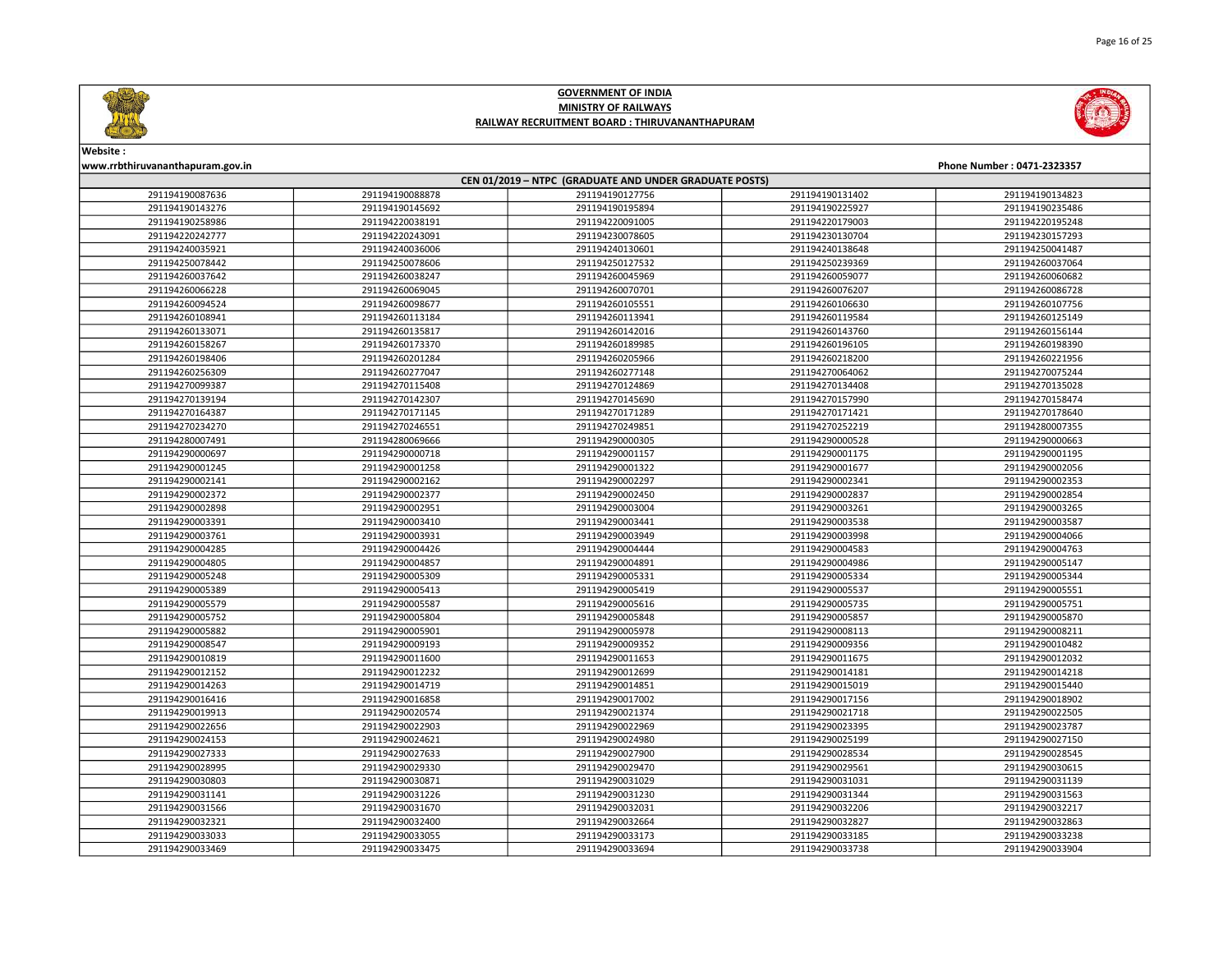





Website :

| CEN 01/2019 - NTPC (GRADUATE AND UNDER GRADUATE POSTS) |                 |                 |                 |                 |  |
|--------------------------------------------------------|-----------------|-----------------|-----------------|-----------------|--|
| 291194190087636                                        | 291194190088878 | 291194190127756 | 291194190131402 | 291194190134823 |  |
| 291194190143276                                        | 291194190145692 | 291194190195894 | 291194190225927 | 291194190235486 |  |
| 291194190258986                                        | 291194220038191 | 291194220091005 | 291194220179003 | 291194220195248 |  |
| 291194220242777                                        | 291194220243091 | 291194230078605 | 291194230130704 | 291194230157293 |  |
| 291194240035921                                        | 291194240036006 | 291194240130601 | 291194240138648 | 291194250041487 |  |
| 291194250078442                                        | 291194250078606 | 291194250127532 | 291194250239369 | 291194260037064 |  |
| 291194260037642                                        | 291194260038247 | 291194260045969 | 291194260059077 | 291194260060682 |  |
| 291194260066228                                        | 291194260069045 | 291194260070701 | 291194260076207 | 291194260086728 |  |
| 291194260094524                                        | 291194260098677 | 291194260105551 | 291194260106630 | 291194260107756 |  |
| 291194260108941                                        | 291194260113184 | 291194260113941 | 291194260119584 | 291194260125149 |  |
| 291194260133071                                        | 291194260135817 | 291194260142016 | 291194260143760 | 291194260156144 |  |
| 291194260158267                                        | 291194260173370 | 291194260189985 | 291194260196105 | 291194260198390 |  |
| 291194260198406                                        | 291194260201284 | 291194260205966 | 291194260218200 | 291194260221956 |  |
| 291194260256309                                        | 291194260277047 | 291194260277148 | 291194270064062 | 291194270075244 |  |
| 291194270099387                                        | 291194270115408 | 291194270124869 | 291194270134408 | 291194270135028 |  |
| 291194270139194                                        | 291194270142307 | 291194270145690 | 291194270157990 | 291194270158474 |  |
| 291194270164387                                        | 291194270171145 | 291194270171289 | 291194270171421 | 291194270178640 |  |
| 291194270234270                                        | 291194270246551 | 291194270249851 | 291194270252219 | 291194280007355 |  |
| 291194280007491                                        | 291194280069666 | 291194290000305 | 291194290000528 | 291194290000663 |  |
| 291194290000697                                        | 291194290000718 | 291194290001157 | 291194290001175 | 291194290001195 |  |
| 291194290001245                                        | 291194290001258 | 291194290001322 | 291194290001677 | 291194290002056 |  |
| 291194290002141                                        | 291194290002162 | 291194290002297 | 291194290002341 | 291194290002353 |  |
| 291194290002372                                        | 291194290002377 | 291194290002450 | 291194290002837 | 291194290002854 |  |
| 291194290002898                                        | 291194290002951 | 291194290003004 | 291194290003261 | 291194290003265 |  |
| 291194290003391                                        | 291194290003410 | 291194290003441 | 291194290003538 | 291194290003587 |  |
| 291194290003761                                        | 291194290003931 | 291194290003949 | 291194290003998 | 291194290004066 |  |
| 291194290004285                                        | 291194290004426 | 291194290004444 | 291194290004583 | 291194290004763 |  |
| 291194290004805                                        | 291194290004857 | 291194290004891 | 291194290004986 | 291194290005147 |  |
| 291194290005248                                        | 291194290005309 | 291194290005331 | 291194290005334 | 291194290005344 |  |
| 291194290005389                                        | 291194290005413 | 291194290005419 | 291194290005537 | 291194290005551 |  |
| 291194290005579                                        | 291194290005587 | 291194290005616 | 291194290005735 | 291194290005751 |  |
| 291194290005752                                        | 291194290005804 | 291194290005848 | 291194290005857 | 291194290005870 |  |
| 291194290005882                                        | 291194290005901 | 291194290005978 | 291194290008113 | 291194290008211 |  |
| 291194290008547                                        | 291194290009193 | 291194290009352 | 291194290009356 | 291194290010482 |  |
| 291194290010819                                        | 291194290011600 | 291194290011653 | 291194290011675 | 291194290012032 |  |
| 291194290012152                                        | 291194290012232 | 291194290012699 | 291194290014181 | 291194290014218 |  |
| 291194290014263                                        | 291194290014719 | 291194290014851 | 291194290015019 | 291194290015440 |  |
| 291194290016416                                        | 291194290016858 | 291194290017002 | 291194290017156 | 291194290018902 |  |
| 291194290019913                                        | 291194290020574 | 291194290021374 | 291194290021718 | 291194290022505 |  |
| 291194290022656                                        | 291194290022903 | 291194290022969 | 291194290023395 | 291194290023787 |  |
| 291194290024153                                        | 291194290024621 | 291194290024980 | 291194290025199 | 291194290027150 |  |
| 291194290027333                                        | 291194290027633 | 291194290027900 | 291194290028534 | 291194290028545 |  |
| 291194290028995                                        | 291194290029330 | 291194290029470 | 291194290029561 | 291194290030615 |  |
| 291194290030803                                        | 291194290030871 | 291194290031029 | 291194290031031 | 291194290031139 |  |
| 291194290031141                                        | 291194290031226 | 291194290031230 | 291194290031344 | 291194290031563 |  |
| 291194290031566                                        | 291194290031670 | 291194290032031 | 291194290032206 | 291194290032217 |  |
| 291194290032321                                        | 291194290032400 | 291194290032664 | 291194290032827 | 291194290032863 |  |
| 291194290033033                                        | 291194290033055 | 291194290033173 | 291194290033185 | 291194290033238 |  |
| 291194290033469                                        | 291194290033475 | 291194290033694 | 291194290033738 | 291194290033904 |  |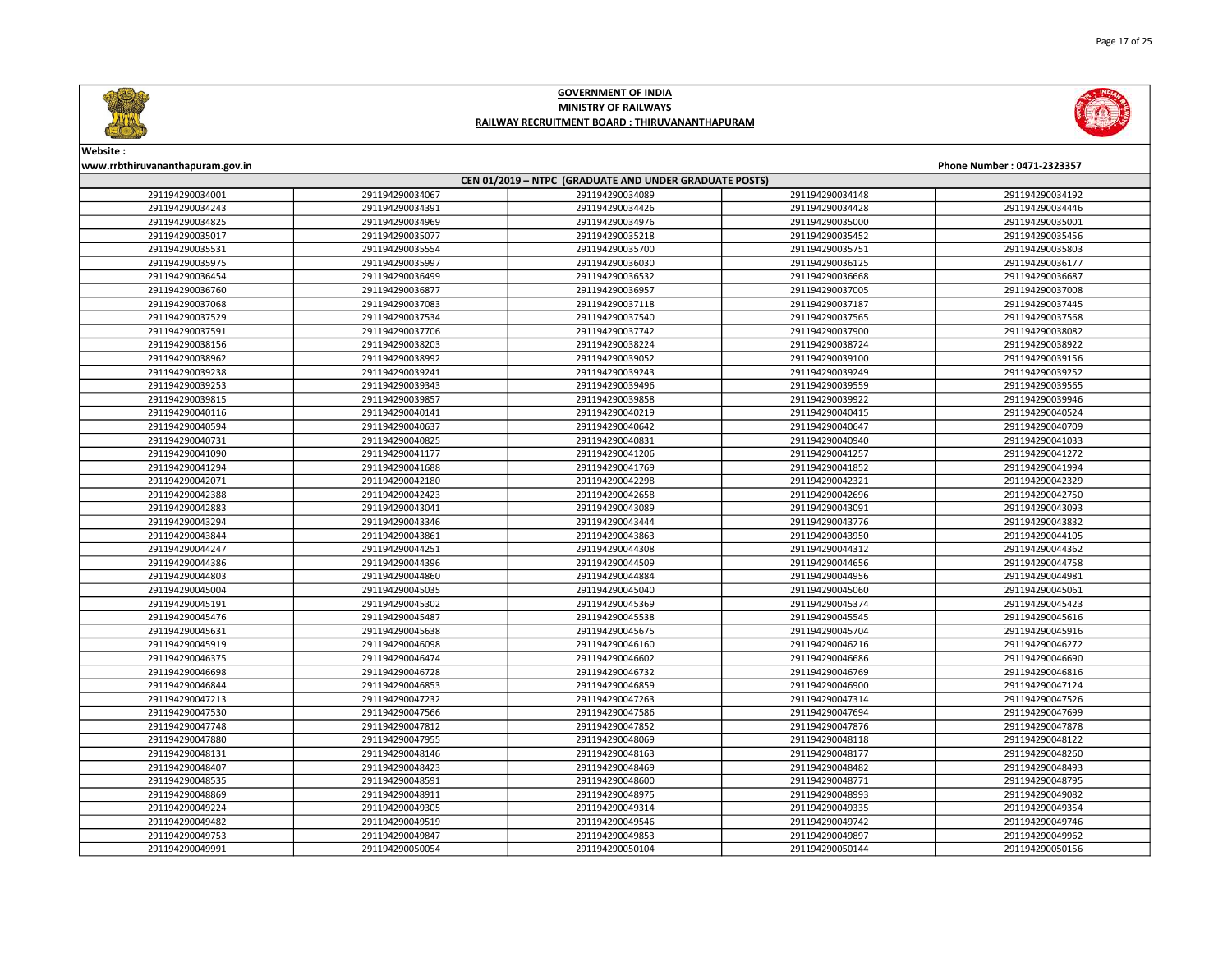

Page 17 of 25

# GOVERNMENT OF INDIA MINISTRY OF RAILWAYS RAILWAY RECRUITMENT BOARD : THIRUVANANTHAPURAM



| CEN 01/2019 - NTPC (GRADUATE AND UNDER GRADUATE POSTS) |                 |                 |                 |                 |  |
|--------------------------------------------------------|-----------------|-----------------|-----------------|-----------------|--|
| 291194290034001                                        | 291194290034067 | 291194290034089 | 291194290034148 | 291194290034192 |  |
| 291194290034243                                        | 291194290034391 | 291194290034426 | 291194290034428 | 291194290034446 |  |
| 291194290034825                                        | 291194290034969 | 291194290034976 | 291194290035000 | 291194290035001 |  |
| 291194290035017                                        | 291194290035077 | 291194290035218 | 291194290035452 | 291194290035456 |  |
| 291194290035531                                        | 291194290035554 | 291194290035700 | 291194290035751 | 291194290035803 |  |
| 291194290035975                                        | 291194290035997 | 291194290036030 | 291194290036125 | 291194290036177 |  |
| 291194290036454                                        | 291194290036499 | 291194290036532 | 291194290036668 | 291194290036687 |  |
| 291194290036760                                        | 291194290036877 | 291194290036957 | 291194290037005 | 291194290037008 |  |
| 291194290037068                                        | 291194290037083 | 291194290037118 | 291194290037187 | 291194290037445 |  |
| 291194290037529                                        | 291194290037534 | 291194290037540 | 291194290037565 | 291194290037568 |  |
| 291194290037591                                        | 291194290037706 | 291194290037742 | 291194290037900 | 291194290038082 |  |
| 291194290038156                                        | 291194290038203 | 291194290038224 | 291194290038724 | 291194290038922 |  |
| 291194290038962                                        | 291194290038992 | 291194290039052 | 291194290039100 | 291194290039156 |  |
| 291194290039238                                        | 291194290039241 | 291194290039243 | 291194290039249 | 291194290039252 |  |
| 291194290039253                                        | 291194290039343 | 291194290039496 | 291194290039559 | 291194290039565 |  |
| 291194290039815                                        | 291194290039857 | 291194290039858 | 291194290039922 | 291194290039946 |  |
| 291194290040116                                        | 291194290040141 | 291194290040219 | 291194290040415 | 291194290040524 |  |
| 291194290040594                                        | 291194290040637 | 291194290040642 | 291194290040647 | 291194290040709 |  |
| 291194290040731                                        | 291194290040825 | 291194290040831 | 291194290040940 | 291194290041033 |  |
| 291194290041090                                        | 291194290041177 | 291194290041206 | 291194290041257 | 291194290041272 |  |
| 291194290041294                                        | 291194290041688 | 291194290041769 | 291194290041852 | 291194290041994 |  |
| 291194290042071                                        | 291194290042180 | 291194290042298 | 291194290042321 | 291194290042329 |  |
| 291194290042388                                        | 291194290042423 | 291194290042658 | 291194290042696 | 291194290042750 |  |
| 291194290042883                                        | 291194290043041 | 291194290043089 | 291194290043091 | 291194290043093 |  |
| 291194290043294                                        | 291194290043346 | 291194290043444 | 291194290043776 | 291194290043832 |  |
| 291194290043844                                        | 291194290043861 | 291194290043863 | 291194290043950 | 291194290044105 |  |
| 291194290044247                                        | 291194290044251 | 291194290044308 | 291194290044312 | 291194290044362 |  |
| 291194290044386                                        | 291194290044396 | 291194290044509 | 291194290044656 | 291194290044758 |  |
| 291194290044803                                        | 291194290044860 | 291194290044884 | 291194290044956 | 291194290044981 |  |
| 291194290045004                                        | 291194290045035 | 291194290045040 | 291194290045060 | 291194290045061 |  |
| 291194290045191                                        | 291194290045302 | 291194290045369 | 291194290045374 | 291194290045423 |  |
| 291194290045476                                        | 291194290045487 | 291194290045538 | 291194290045545 | 291194290045616 |  |
| 291194290045631                                        | 291194290045638 | 291194290045675 | 291194290045704 | 291194290045916 |  |
| 291194290045919                                        | 291194290046098 | 291194290046160 | 291194290046216 | 291194290046272 |  |
| 291194290046375                                        | 291194290046474 | 291194290046602 | 291194290046686 | 291194290046690 |  |
| 291194290046698                                        | 291194290046728 | 291194290046732 | 291194290046769 | 291194290046816 |  |
| 291194290046844                                        | 291194290046853 | 291194290046859 | 291194290046900 | 291194290047124 |  |
| 291194290047213                                        | 291194290047232 | 291194290047263 | 291194290047314 | 291194290047526 |  |
| 291194290047530                                        | 291194290047566 | 291194290047586 | 291194290047694 | 291194290047699 |  |
| 291194290047748                                        | 291194290047812 | 291194290047852 | 291194290047876 | 291194290047878 |  |
| 291194290047880                                        | 291194290047955 | 291194290048069 | 291194290048118 | 291194290048122 |  |
| 291194290048131                                        | 291194290048146 | 291194290048163 | 291194290048177 | 291194290048260 |  |
| 291194290048407                                        | 291194290048423 | 291194290048469 | 291194290048482 | 291194290048493 |  |
| 291194290048535                                        | 291194290048591 | 291194290048600 | 291194290048771 | 291194290048795 |  |
| 291194290048869                                        | 291194290048911 | 291194290048975 | 291194290048993 | 291194290049082 |  |
| 291194290049224                                        | 291194290049305 | 291194290049314 | 291194290049335 | 291194290049354 |  |
| 291194290049482                                        | 291194290049519 | 291194290049546 | 291194290049742 | 291194290049746 |  |
| 291194290049753                                        | 291194290049847 | 291194290049853 | 291194290049897 | 291194290049962 |  |
| 291194290049991                                        | 291194290050054 | 291194290050104 | 291194290050144 | 291194290050156 |  |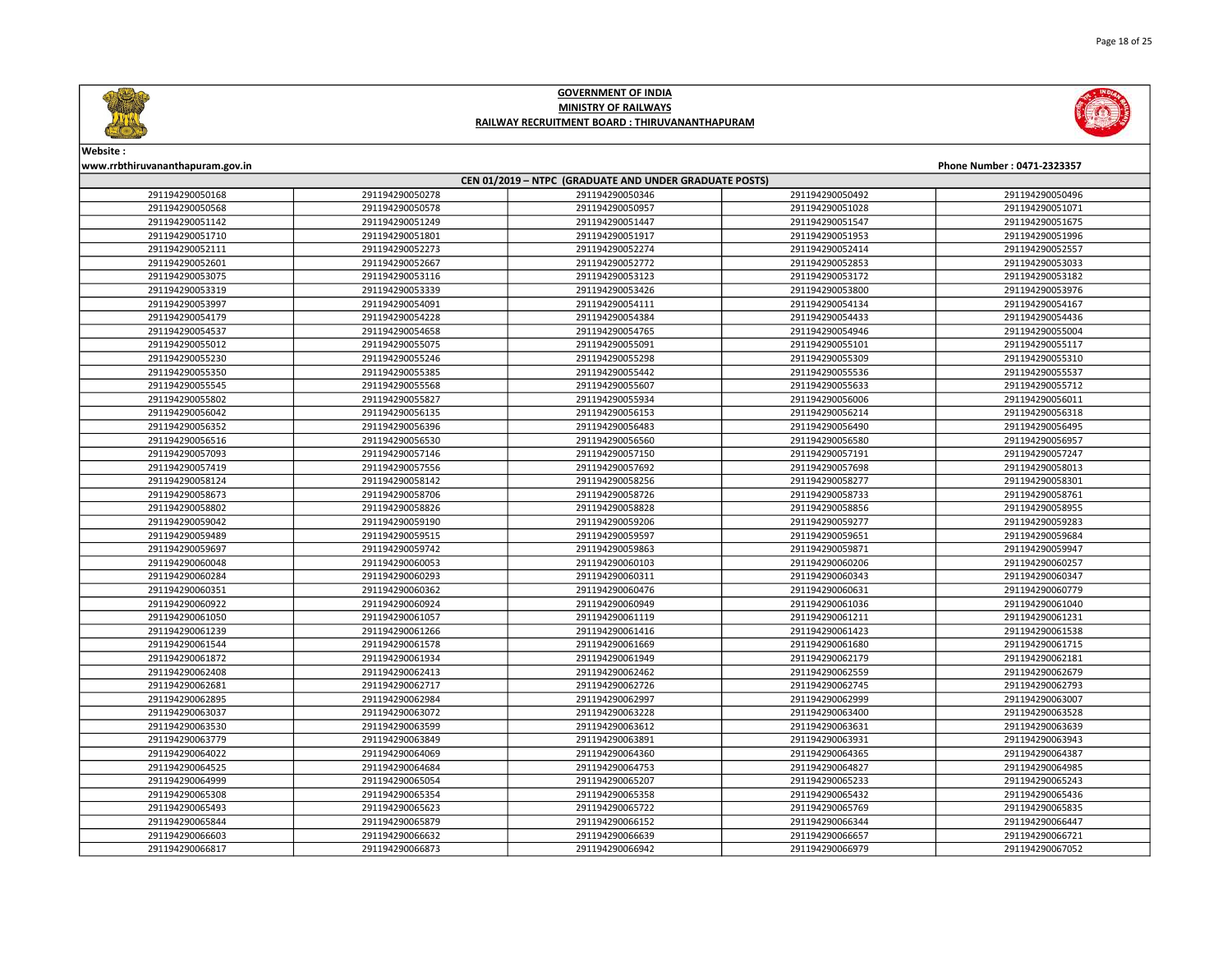



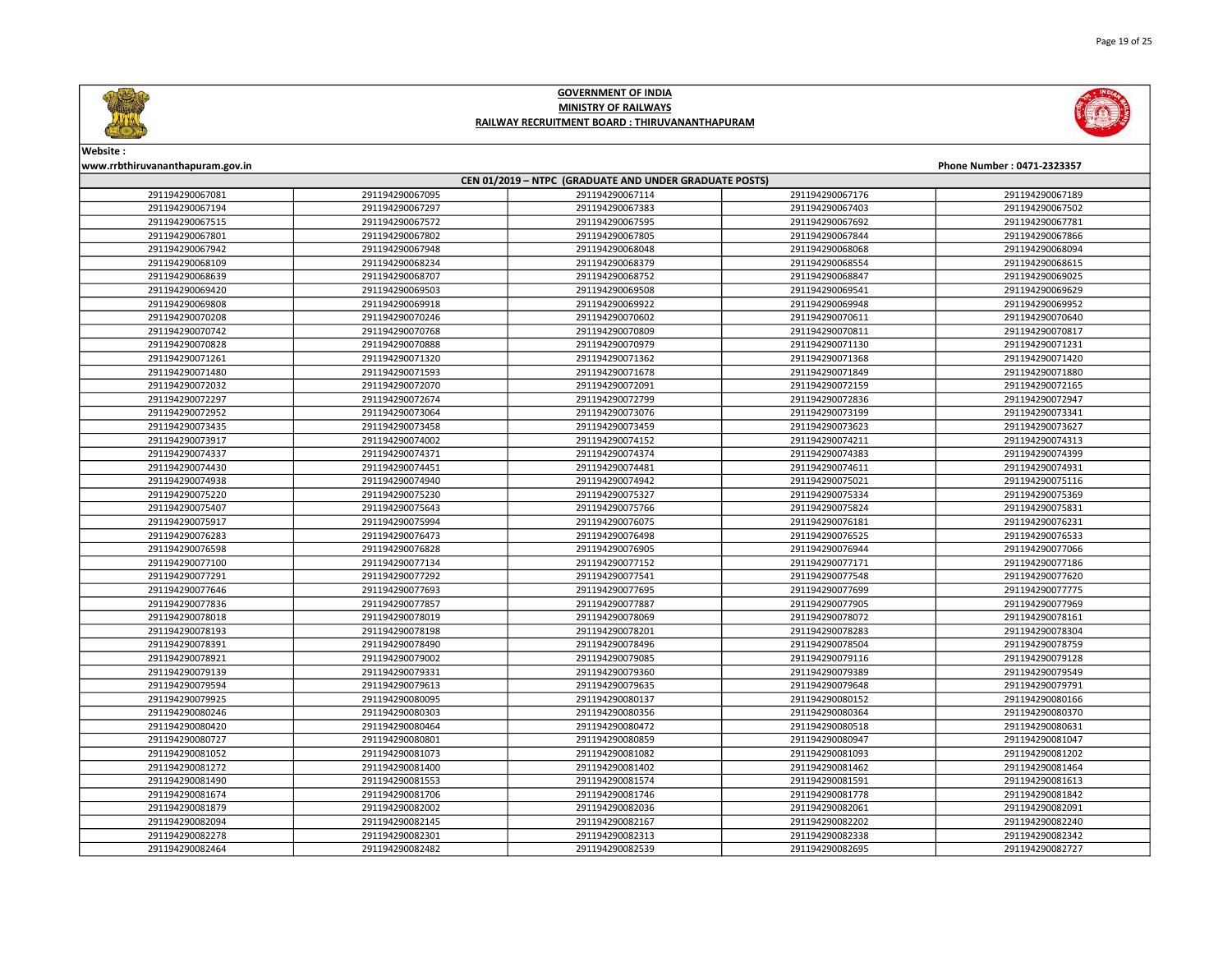

Page 19 of 25



# GOVERNMENT OF INDIA MINISTRY OF RAILWAYS RAILWAY RECRUITMENT BOARD : THIRUVANANTHAPURAM



Website :

| CEN 01/2019 - NTPC (GRADUATE AND UNDER GRADUATE POSTS) |                 |                 |                 |                 |  |
|--------------------------------------------------------|-----------------|-----------------|-----------------|-----------------|--|
| 291194290067081                                        | 291194290067095 | 291194290067114 | 291194290067176 | 291194290067189 |  |
| 291194290067194                                        | 291194290067297 | 291194290067383 | 291194290067403 | 291194290067502 |  |
| 291194290067515                                        | 291194290067572 | 291194290067595 | 291194290067692 | 291194290067781 |  |
| 291194290067801                                        | 291194290067802 | 291194290067805 | 291194290067844 | 291194290067866 |  |
| 291194290067942                                        | 291194290067948 | 291194290068048 | 291194290068068 | 291194290068094 |  |
| 291194290068109                                        | 291194290068234 | 291194290068379 | 291194290068554 | 291194290068615 |  |
| 291194290068639                                        | 291194290068707 | 291194290068752 | 291194290068847 | 291194290069025 |  |
| 291194290069420                                        | 291194290069503 | 291194290069508 | 291194290069541 | 291194290069629 |  |
| 291194290069808                                        | 291194290069918 | 291194290069922 | 291194290069948 | 291194290069952 |  |
| 291194290070208                                        | 291194290070246 | 291194290070602 | 291194290070611 | 291194290070640 |  |
| 291194290070742                                        | 291194290070768 | 291194290070809 | 291194290070811 | 291194290070817 |  |
| 291194290070828                                        | 291194290070888 | 291194290070979 | 291194290071130 | 291194290071231 |  |
| 291194290071261                                        | 291194290071320 | 291194290071362 | 291194290071368 | 291194290071420 |  |
| 291194290071480                                        | 291194290071593 | 291194290071678 | 291194290071849 | 291194290071880 |  |
| 291194290072032                                        | 291194290072070 | 291194290072091 | 291194290072159 | 291194290072165 |  |
| 291194290072297                                        | 291194290072674 | 291194290072799 | 291194290072836 | 291194290072947 |  |
| 291194290072952                                        | 291194290073064 | 291194290073076 | 291194290073199 | 291194290073341 |  |
| 291194290073435                                        | 291194290073458 | 291194290073459 | 291194290073623 | 291194290073627 |  |
| 291194290073917                                        | 291194290074002 | 291194290074152 | 291194290074211 | 291194290074313 |  |
| 291194290074337                                        | 291194290074371 | 291194290074374 | 291194290074383 | 291194290074399 |  |
| 291194290074430                                        | 291194290074451 | 291194290074481 | 291194290074611 | 291194290074931 |  |
| 291194290074938                                        | 291194290074940 | 291194290074942 | 291194290075021 | 291194290075116 |  |
| 291194290075220                                        | 291194290075230 | 291194290075327 | 291194290075334 | 291194290075369 |  |
| 291194290075407                                        | 291194290075643 | 291194290075766 | 291194290075824 | 291194290075831 |  |
| 291194290075917                                        | 291194290075994 | 291194290076075 | 291194290076181 | 291194290076231 |  |
| 291194290076283                                        | 291194290076473 | 291194290076498 | 291194290076525 | 291194290076533 |  |
| 291194290076598                                        | 291194290076828 | 291194290076905 | 291194290076944 | 291194290077066 |  |
| 291194290077100                                        | 291194290077134 | 291194290077152 | 291194290077171 | 291194290077186 |  |
| 291194290077291                                        | 291194290077292 | 291194290077541 | 291194290077548 | 291194290077620 |  |
| 291194290077646                                        | 291194290077693 | 291194290077695 | 291194290077699 | 291194290077775 |  |
| 291194290077836                                        | 291194290077857 | 291194290077887 | 291194290077905 | 291194290077969 |  |
| 291194290078018                                        | 291194290078019 | 291194290078069 | 291194290078072 | 291194290078161 |  |
| 291194290078193                                        | 291194290078198 | 291194290078201 | 291194290078283 | 291194290078304 |  |
| 291194290078391                                        | 291194290078490 | 291194290078496 | 291194290078504 | 291194290078759 |  |
| 291194290078921                                        | 291194290079002 | 291194290079085 | 291194290079116 | 291194290079128 |  |
| 291194290079139                                        | 291194290079331 | 291194290079360 | 291194290079389 | 291194290079549 |  |
| 291194290079594                                        | 291194290079613 | 291194290079635 | 291194290079648 | 291194290079791 |  |
| 291194290079925                                        | 291194290080095 | 291194290080137 | 291194290080152 | 291194290080166 |  |
| 291194290080246                                        | 291194290080303 | 291194290080356 | 291194290080364 | 291194290080370 |  |
| 291194290080420                                        | 291194290080464 | 291194290080472 | 291194290080518 | 291194290080631 |  |
| 291194290080727                                        | 291194290080801 | 291194290080859 | 291194290080947 | 291194290081047 |  |
| 291194290081052                                        | 291194290081073 | 291194290081082 | 291194290081093 | 291194290081202 |  |
| 291194290081272                                        | 291194290081400 | 291194290081402 | 291194290081462 | 291194290081464 |  |
| 291194290081490                                        | 291194290081553 | 291194290081574 | 291194290081591 | 291194290081613 |  |
| 291194290081674                                        | 291194290081706 | 291194290081746 | 291194290081778 | 291194290081842 |  |
| 291194290081879                                        | 291194290082002 | 291194290082036 | 291194290082061 | 291194290082091 |  |
| 291194290082094                                        | 291194290082145 | 291194290082167 | 291194290082202 | 291194290082240 |  |
| 291194290082278                                        | 291194290082301 | 291194290082313 | 291194290082338 | 291194290082342 |  |
| 291194290082464                                        | 291194290082482 | 291194290082539 | 291194290082695 | 291194290082727 |  |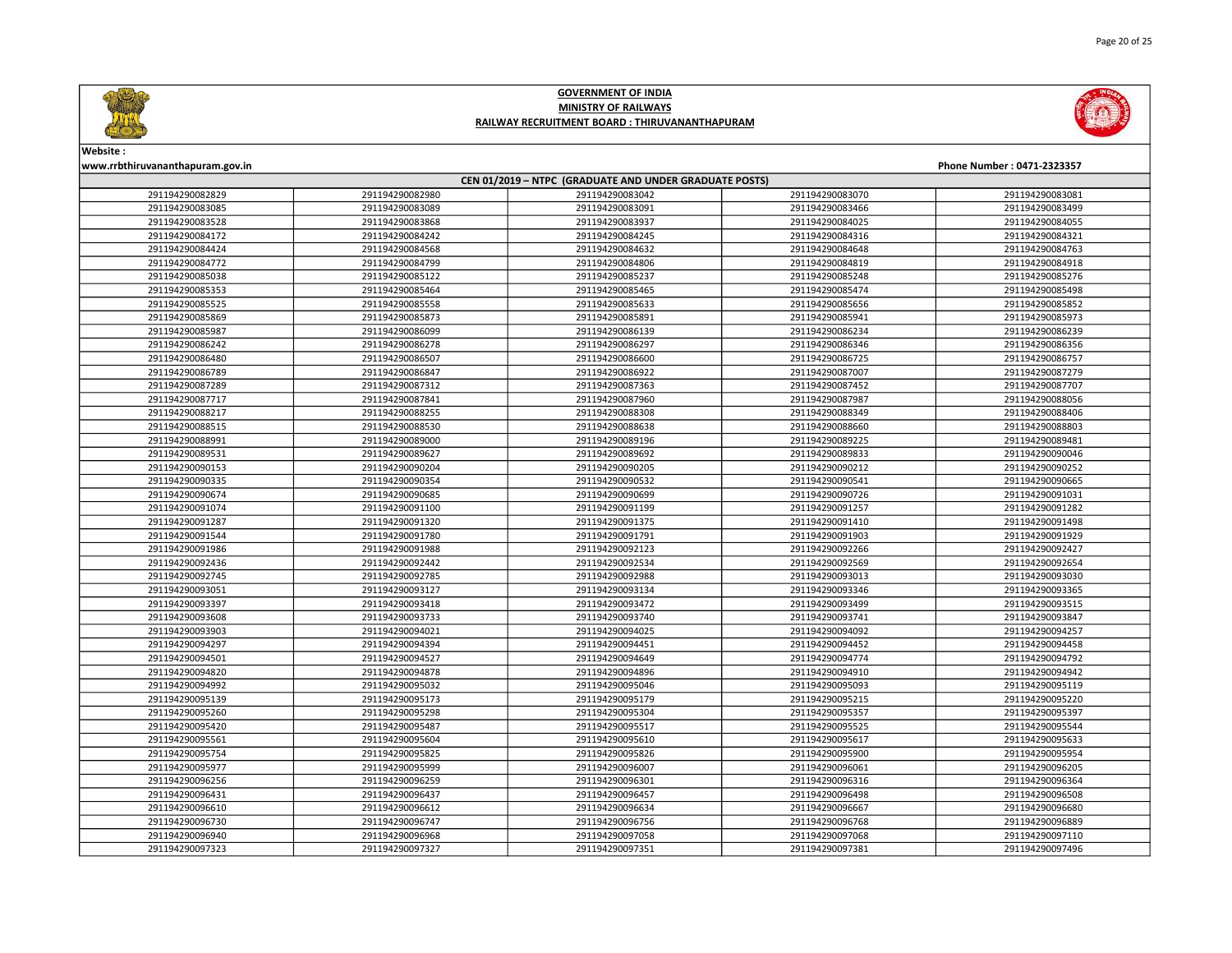

www.rrbthiruvananthapuram.gov.in Phone Number : 0471-2323357



Website :

### CEN 01/2019 – NTPC (GRADUATE AND UNDER GRADUATE POSTS) 291194290082980 291194290083042 291194290083070 291194290083081 291194290083089 291194290083091 291194290083466 291194290083499 291194290083868 291194290083937 291194290084025 291194290084055 291194290084242 291194290084245 291194290084316 291194290084321 291194290084568 291194290084632 291194290084648 291194290084763 291194290084799 291194290084806 291194290084819 291194290084918 291194290085122 291194290085237 291194290085248 291194290085276 291194290085464 291194290085465 291194290085474 291194290085498 291194290085558 291194290085633 291194290085656 291194290085852 291194290085873 291194290085891 291194290085941 291194290085973 291194290086099 291194290086139 291194290086234 291194290086239 291194290086278 291194290086297 291194290086346 291194290086356 291194290086507 291194290086600 291194290086725 291194290086757 291194290086847 291194290086922 291194290087007 291194290087279 291194290087312 291194290087363 291194290087452 291194290087707 291194290087841 291194290087960 291194290087987 291194290088056 291194290088255 291194290088308 291194290088349 291194290088406 291194290088530 291194290088638 291194290088660 291194290088803 291194290089000 291194290089196 291194290089225 291194290089481 291194290089627 291194290089692 291194290089833 291194290090046 291194290090204 291194290090205 291194290090212 291194290090252 291194290090354 291194290090532 291194290090541 291194290090665 291194290090685 291194290090699 291194290090726 291194290091031 291194290091100 291194290091199 291194290091257 291194290091282 291194290091320 291194290091375 291194290091410 291194290091498 291194290091780 291194290091791 291194290091903 291194290091929 291194290091988 291194290092123 291194290092266 291194290092427 291194290092442 291194290092534 291194290092569 291194290092654 291194290092785 291194290092988 291194290093013 291194290093030 291194290093127 291194290093134 291194290093346 291194290093365 291194290093418 291194290093472 291194290093499 291194290093515 291194290093733 291194290093740 291194290093741 291194290093847 291194290094021 291194290094025 291194290094092 291194290094257 291194290094394 291194290094451 291194290094452 291194290094458 291194290094527 291194290094649 291194290094774 291194290094792 291194290094878 291194290094896 291194290094910 291194290094942 291194290095032 291194290095046 291194290095093 291194290095119 291194290095173 291194290095179 291194290095215 291194290095220 291194290095298 291194290095304 291194290095357 291194290095397 291194290095487 291194290095517 291194290095525 291194290095544 291194290095604 291194290095610 291194290095617 291194290095633 291194290095825 291194290095826 291194290095900 291194290095954 291194290095999 291194290096007 291194290096061 291194290096205 291194290096259 291194290096301 291194290096316 291194290096364 291194290096437 291194290096457 291194290096498 291194290096508 291194290096612 291194290096634 291194290096667 291194290096680 291194290096747 291194290096756 291194290096768 291194290096889 291194290096968 291194290097058 291194290097068 291194290097110 291194290097327 291194290097351 291194290097381 291194290097496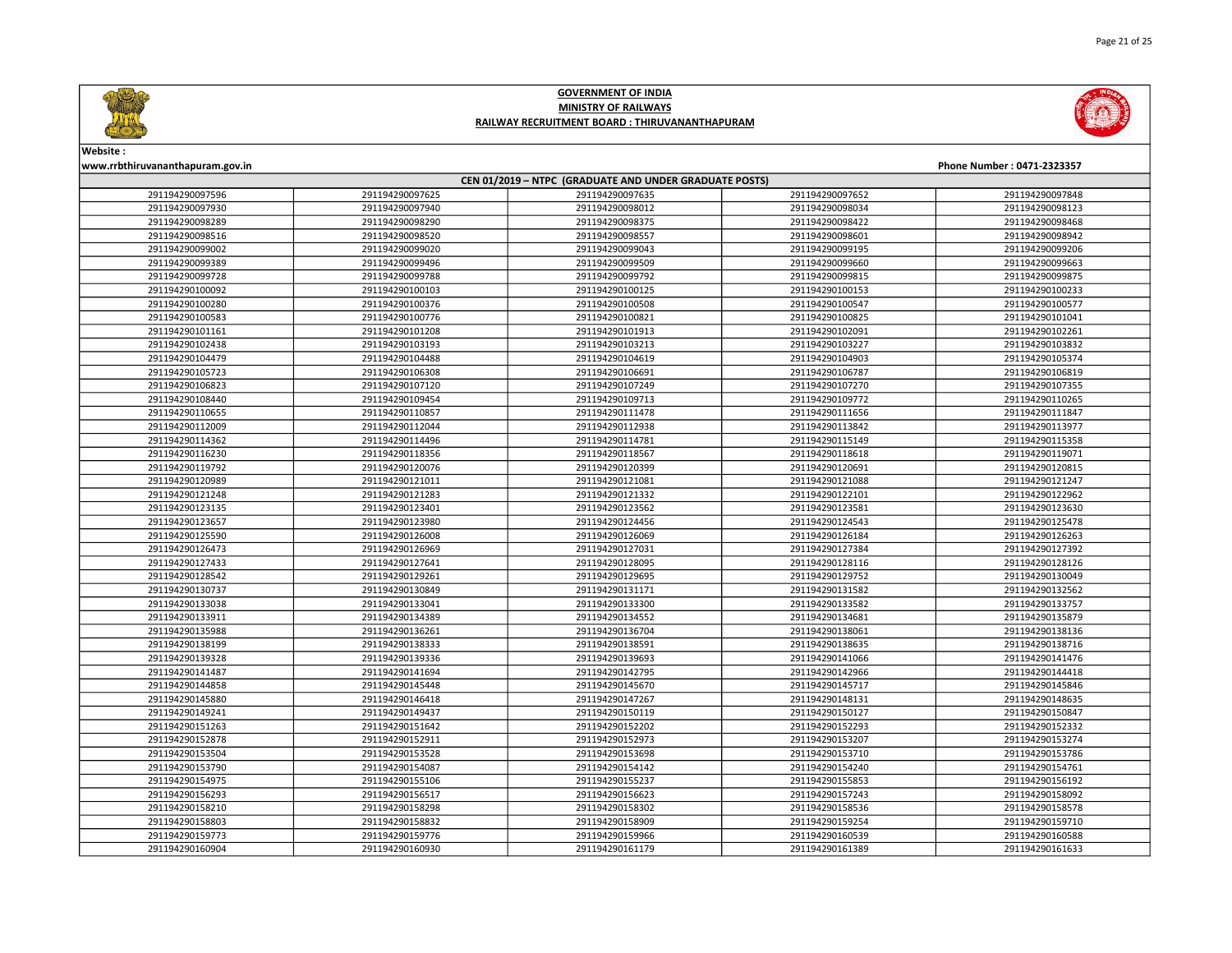





# Website :

| CEN 01/2019 - NTPC (GRADUATE AND UNDER GRADUATE POSTS) |                 |                 |                 |                 |
|--------------------------------------------------------|-----------------|-----------------|-----------------|-----------------|
| 291194290097596                                        | 291194290097625 | 291194290097635 | 291194290097652 | 291194290097848 |
| 291194290097930                                        | 291194290097940 | 291194290098012 | 291194290098034 | 291194290098123 |
| 291194290098289                                        | 291194290098290 | 291194290098375 | 291194290098422 | 291194290098468 |
| 291194290098516                                        | 291194290098520 | 291194290098557 | 291194290098601 | 291194290098942 |
| 291194290099002                                        | 291194290099020 | 291194290099043 | 291194290099195 | 291194290099206 |
| 291194290099389                                        | 291194290099496 | 291194290099509 | 291194290099660 | 291194290099663 |
| 291194290099728                                        | 291194290099788 | 291194290099792 | 291194290099815 | 291194290099875 |
| 291194290100092                                        | 291194290100103 | 291194290100125 | 291194290100153 | 291194290100233 |
| 291194290100280                                        | 291194290100376 | 291194290100508 | 291194290100547 | 291194290100577 |
| 291194290100583                                        | 291194290100776 | 291194290100821 | 291194290100825 | 291194290101041 |
| 291194290101161                                        | 291194290101208 | 291194290101913 | 291194290102091 | 291194290102261 |
| 291194290102438                                        | 291194290103193 | 291194290103213 | 291194290103227 | 291194290103832 |
| 291194290104479                                        | 291194290104488 | 291194290104619 | 291194290104903 | 291194290105374 |
| 291194290105723                                        | 291194290106308 | 291194290106691 | 291194290106787 | 291194290106819 |
| 291194290106823                                        | 291194290107120 | 291194290107249 | 291194290107270 | 291194290107355 |
| 291194290108440                                        | 291194290109454 | 291194290109713 | 291194290109772 | 291194290110265 |
| 291194290110655                                        | 291194290110857 | 291194290111478 | 291194290111656 | 291194290111847 |
| 291194290112009                                        | 291194290112044 | 291194290112938 | 291194290113842 | 291194290113977 |
| 291194290114362                                        | 291194290114496 | 291194290114781 | 291194290115149 | 291194290115358 |
| 291194290116230                                        | 291194290118356 | 291194290118567 | 291194290118618 | 291194290119071 |
| 291194290119792                                        | 291194290120076 | 291194290120399 | 291194290120691 | 291194290120815 |
| 291194290120989                                        | 291194290121011 | 291194290121081 | 291194290121088 | 291194290121247 |
| 291194290121248                                        | 291194290121283 | 291194290121332 | 291194290122101 | 291194290122962 |
| 291194290123135                                        | 291194290123401 | 291194290123562 | 291194290123581 | 291194290123630 |
| 291194290123657                                        | 291194290123980 | 291194290124456 | 291194290124543 | 291194290125478 |
| 291194290125590                                        | 291194290126008 | 291194290126069 | 291194290126184 | 291194290126263 |
| 291194290126473                                        | 291194290126969 | 291194290127031 | 291194290127384 | 291194290127392 |
| 291194290127433                                        | 291194290127641 | 291194290128095 | 291194290128116 | 291194290128126 |
| 291194290128542                                        | 291194290129261 | 291194290129695 | 291194290129752 | 291194290130049 |
| 291194290130737                                        | 291194290130849 | 291194290131171 | 291194290131582 | 291194290132562 |
| 291194290133038                                        | 291194290133041 | 291194290133300 | 291194290133582 | 291194290133757 |
| 291194290133911                                        | 291194290134389 | 291194290134552 | 291194290134681 | 291194290135879 |
| 291194290135988                                        | 291194290136261 | 291194290136704 | 291194290138061 | 291194290138136 |
| 291194290138199                                        | 291194290138333 | 291194290138591 | 291194290138635 | 291194290138716 |
| 291194290139328                                        | 291194290139336 | 291194290139693 | 291194290141066 | 291194290141476 |
| 291194290141487                                        | 291194290141694 | 291194290142795 | 291194290142966 | 291194290144418 |
| 291194290144858                                        | 291194290145448 | 291194290145670 | 291194290145717 | 291194290145846 |
| 291194290145880                                        | 291194290146418 | 291194290147267 | 291194290148131 | 291194290148635 |
| 291194290149241                                        | 291194290149437 | 291194290150119 | 291194290150127 | 291194290150847 |
| 291194290151263                                        | 291194290151642 | 291194290152202 | 291194290152293 | 291194290152332 |
| 291194290152878                                        | 291194290152911 | 291194290152973 | 291194290153207 | 291194290153274 |
| 291194290153504                                        | 291194290153528 | 291194290153698 | 291194290153710 | 291194290153786 |
| 291194290153790                                        | 291194290154087 | 291194290154142 | 291194290154240 | 291194290154761 |
| 291194290154975                                        | 291194290155106 | 291194290155237 | 291194290155853 | 291194290156192 |
| 291194290156293                                        | 291194290156517 | 291194290156623 | 291194290157243 | 291194290158092 |
| 291194290158210                                        | 291194290158298 | 291194290158302 | 291194290158536 | 291194290158578 |
| 291194290158803                                        | 291194290158832 | 291194290158909 | 291194290159254 | 291194290159710 |
| 291194290159773                                        | 291194290159776 | 291194290159966 | 291194290160539 | 291194290160588 |
| 291194290160904                                        | 291194290160930 | 291194290161179 | 291194290161389 | 291194290161633 |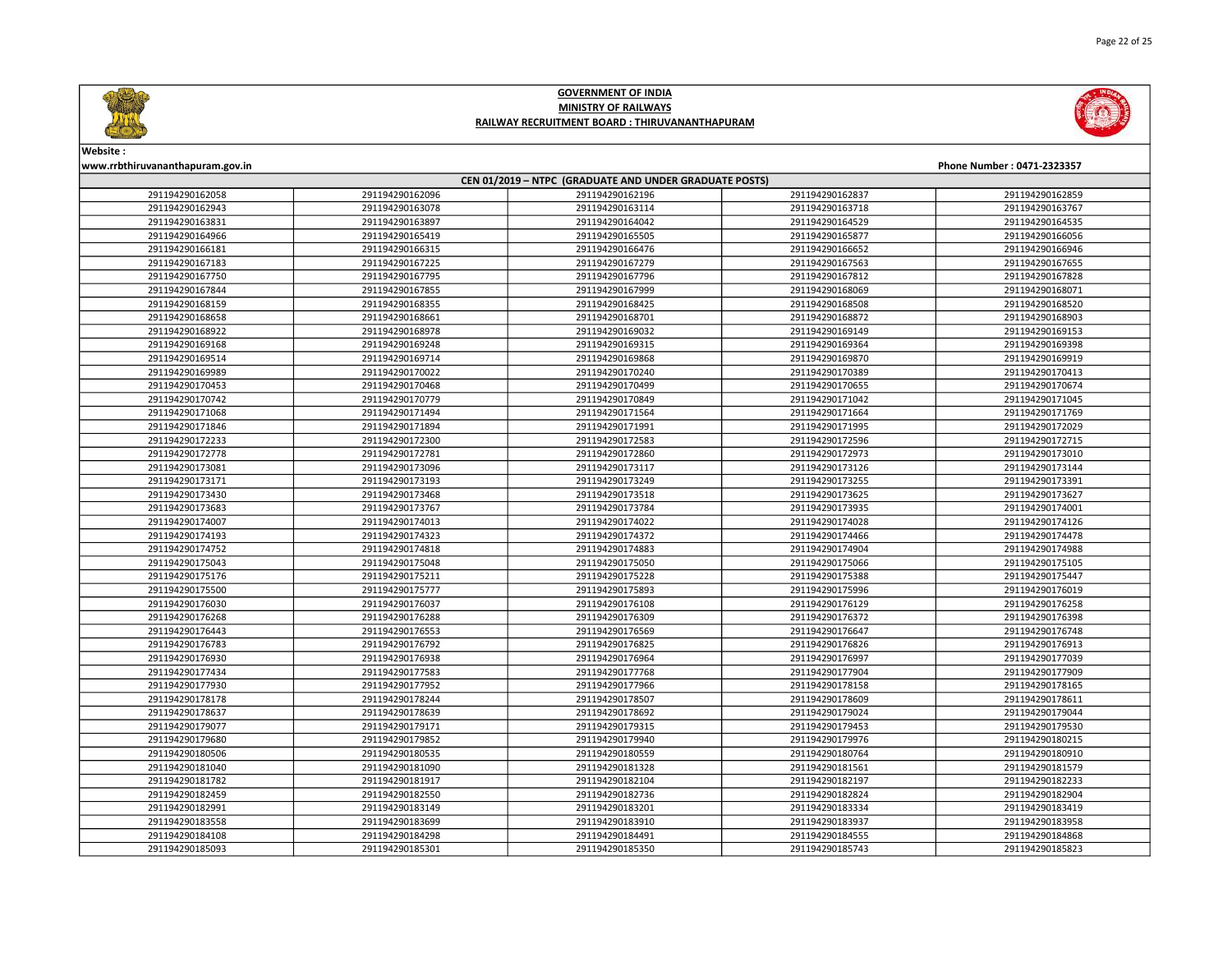



| CEN 01/2019 - NTPC (GRADUATE AND UNDER GRADUATE POSTS) |                 |                 |                 |                 |  |
|--------------------------------------------------------|-----------------|-----------------|-----------------|-----------------|--|
| 291194290162058                                        | 291194290162096 | 291194290162196 | 291194290162837 | 291194290162859 |  |
| 291194290162943                                        | 291194290163078 | 291194290163114 | 291194290163718 | 291194290163767 |  |
| 291194290163831                                        | 291194290163897 | 291194290164042 | 291194290164529 | 291194290164535 |  |
| 291194290164966                                        | 291194290165419 | 291194290165505 | 291194290165877 | 291194290166056 |  |
| 291194290166181                                        | 291194290166315 | 291194290166476 | 291194290166652 | 291194290166946 |  |
| 291194290167183                                        | 291194290167225 | 291194290167279 | 291194290167563 | 291194290167655 |  |
| 291194290167750                                        | 291194290167795 | 291194290167796 | 291194290167812 | 291194290167828 |  |
| 291194290167844                                        | 291194290167855 | 291194290167999 | 291194290168069 | 291194290168071 |  |
| 291194290168159                                        | 291194290168355 | 291194290168425 | 291194290168508 | 291194290168520 |  |
| 291194290168658                                        | 291194290168661 | 291194290168701 | 291194290168872 | 291194290168903 |  |
| 291194290168922                                        | 291194290168978 | 291194290169032 | 291194290169149 | 291194290169153 |  |
| 291194290169168                                        | 291194290169248 | 291194290169315 | 291194290169364 | 291194290169398 |  |
| 291194290169514                                        | 291194290169714 | 291194290169868 | 291194290169870 | 291194290169919 |  |
| 291194290169989                                        | 291194290170022 | 291194290170240 | 291194290170389 | 291194290170413 |  |
| 291194290170453                                        | 291194290170468 | 291194290170499 | 291194290170655 | 291194290170674 |  |
| 291194290170742                                        | 291194290170779 | 291194290170849 | 291194290171042 | 291194290171045 |  |
| 291194290171068                                        | 291194290171494 | 291194290171564 | 291194290171664 | 291194290171769 |  |
| 291194290171846                                        | 291194290171894 | 291194290171991 | 291194290171995 | 291194290172029 |  |
| 291194290172233                                        | 291194290172300 | 291194290172583 | 291194290172596 | 291194290172715 |  |
| 291194290172778                                        | 291194290172781 | 291194290172860 | 291194290172973 | 291194290173010 |  |
| 291194290173081                                        | 291194290173096 | 291194290173117 | 291194290173126 | 291194290173144 |  |
| 291194290173171                                        | 291194290173193 | 291194290173249 | 291194290173255 | 291194290173391 |  |
| 291194290173430                                        | 291194290173468 | 291194290173518 | 291194290173625 | 291194290173627 |  |
| 291194290173683                                        | 291194290173767 | 291194290173784 | 291194290173935 | 291194290174001 |  |
| 291194290174007                                        | 291194290174013 | 291194290174022 | 291194290174028 | 291194290174126 |  |
| 291194290174193                                        | 291194290174323 | 291194290174372 | 291194290174466 | 291194290174478 |  |
| 291194290174752                                        | 291194290174818 | 291194290174883 | 291194290174904 | 291194290174988 |  |
| 291194290175043                                        | 291194290175048 | 291194290175050 | 291194290175066 | 291194290175105 |  |
| 291194290175176                                        | 291194290175211 | 291194290175228 | 291194290175388 | 291194290175447 |  |
| 291194290175500                                        | 291194290175777 | 291194290175893 | 291194290175996 | 291194290176019 |  |
| 291194290176030                                        | 291194290176037 | 291194290176108 | 291194290176129 | 291194290176258 |  |
| 291194290176268                                        | 291194290176288 | 291194290176309 | 291194290176372 | 291194290176398 |  |
| 291194290176443                                        | 291194290176553 | 291194290176569 | 291194290176647 | 291194290176748 |  |
| 291194290176783                                        | 291194290176792 | 291194290176825 | 291194290176826 | 291194290176913 |  |
| 291194290176930                                        | 291194290176938 | 291194290176964 | 291194290176997 | 291194290177039 |  |
| 291194290177434                                        | 291194290177583 | 291194290177768 | 291194290177904 | 291194290177909 |  |
| 291194290177930                                        | 291194290177952 | 291194290177966 | 291194290178158 | 291194290178165 |  |
| 291194290178178                                        | 291194290178244 | 291194290178507 | 291194290178609 | 291194290178611 |  |
| 291194290178637                                        | 291194290178639 | 291194290178692 | 291194290179024 | 291194290179044 |  |
| 291194290179077                                        | 291194290179171 | 291194290179315 | 291194290179453 | 291194290179530 |  |
| 291194290179680                                        | 291194290179852 | 291194290179940 | 291194290179976 | 291194290180215 |  |
| 291194290180506                                        | 291194290180535 | 291194290180559 | 291194290180764 | 291194290180910 |  |
| 291194290181040                                        | 291194290181090 | 291194290181328 | 291194290181561 | 291194290181579 |  |
| 291194290181782                                        | 291194290181917 | 291194290182104 | 291194290182197 | 291194290182233 |  |
| 291194290182459                                        | 291194290182550 | 291194290182736 | 291194290182824 | 291194290182904 |  |
| 291194290182991                                        | 291194290183149 | 291194290183201 | 291194290183334 | 291194290183419 |  |
| 291194290183558                                        | 291194290183699 | 291194290183910 | 291194290183937 | 291194290183958 |  |
| 291194290184108                                        | 291194290184298 | 291194290184491 | 291194290184555 | 291194290184868 |  |
| 291194290185093                                        | 291194290185301 | 291194290185350 | 291194290185743 | 291194290185823 |  |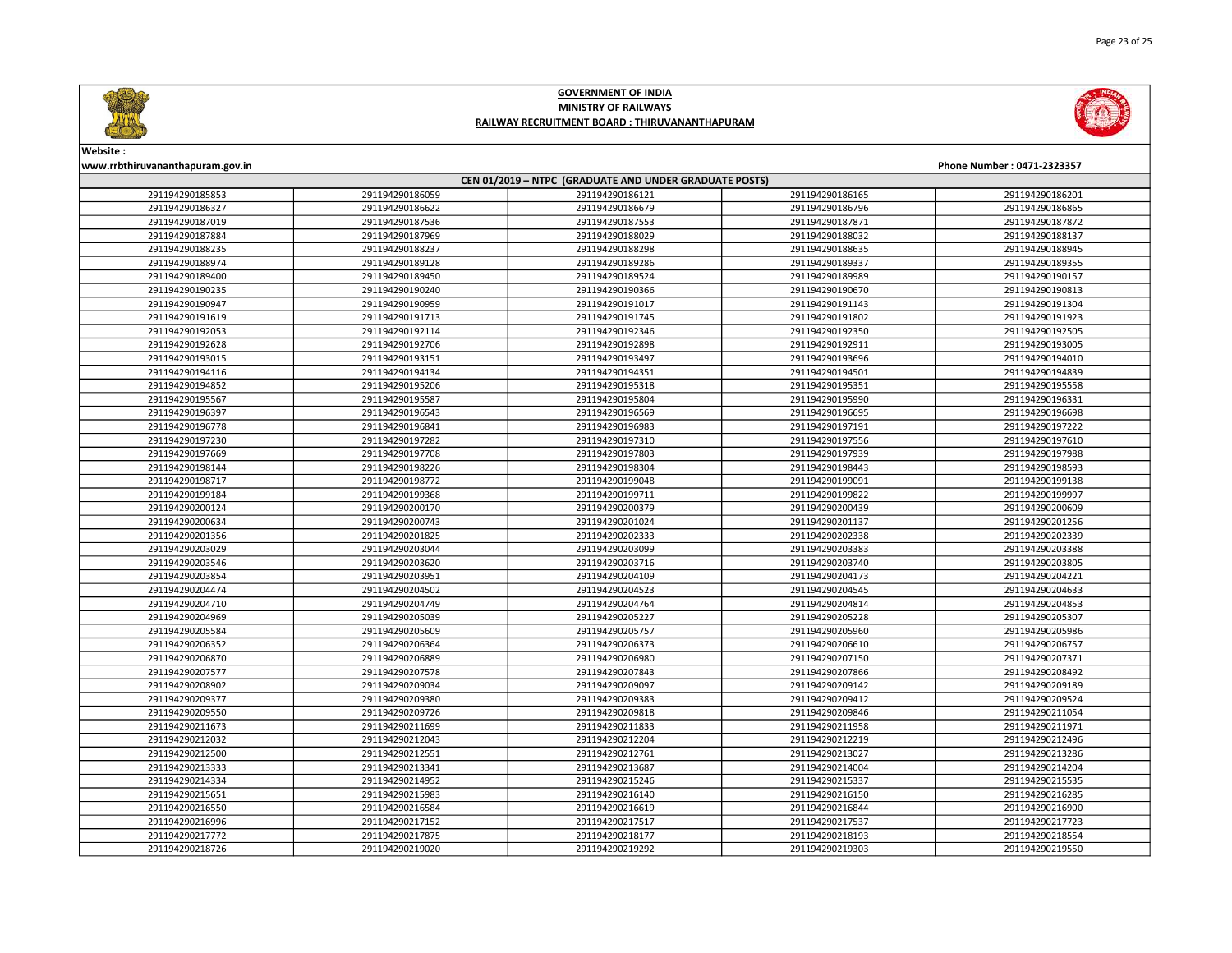





Website :

| CEN 01/2019 - NTPC (GRADUATE AND UNDER GRADUATE POSTS) |                 |                 |                 |                 |  |
|--------------------------------------------------------|-----------------|-----------------|-----------------|-----------------|--|
| 291194290185853                                        | 291194290186059 | 291194290186121 | 291194290186165 | 291194290186201 |  |
| 291194290186327                                        | 291194290186622 | 291194290186679 | 291194290186796 | 291194290186865 |  |
| 291194290187019                                        | 291194290187536 | 291194290187553 | 291194290187871 | 291194290187872 |  |
| 291194290187884                                        | 291194290187969 | 291194290188029 | 291194290188032 | 291194290188137 |  |
| 291194290188235                                        | 291194290188237 | 291194290188298 | 291194290188635 | 291194290188945 |  |
| 291194290188974                                        | 291194290189128 | 291194290189286 | 291194290189337 | 291194290189355 |  |
| 291194290189400                                        | 291194290189450 | 291194290189524 | 291194290189989 | 291194290190157 |  |
| 291194290190235                                        | 291194290190240 | 291194290190366 | 291194290190670 | 291194290190813 |  |
| 291194290190947                                        | 291194290190959 | 291194290191017 | 291194290191143 | 291194290191304 |  |
| 291194290191619                                        | 291194290191713 | 291194290191745 | 291194290191802 | 291194290191923 |  |
| 291194290192053                                        | 291194290192114 | 291194290192346 | 291194290192350 | 291194290192505 |  |
| 291194290192628                                        | 291194290192706 | 291194290192898 | 291194290192911 | 291194290193005 |  |
| 291194290193015                                        | 291194290193151 | 291194290193497 | 291194290193696 | 291194290194010 |  |
| 291194290194116                                        | 291194290194134 | 291194290194351 | 291194290194501 | 291194290194839 |  |
| 291194290194852                                        | 291194290195206 | 291194290195318 | 291194290195351 | 291194290195558 |  |
| 291194290195567                                        | 291194290195587 | 291194290195804 | 291194290195990 | 291194290196331 |  |
| 291194290196397                                        | 291194290196543 | 291194290196569 | 291194290196695 | 291194290196698 |  |
| 291194290196778                                        | 291194290196841 | 291194290196983 | 291194290197191 | 291194290197222 |  |
| 291194290197230                                        | 291194290197282 | 291194290197310 | 291194290197556 | 291194290197610 |  |
| 291194290197669                                        | 291194290197708 | 291194290197803 | 291194290197939 | 291194290197988 |  |
| 291194290198144                                        | 291194290198226 | 291194290198304 | 291194290198443 | 291194290198593 |  |
| 291194290198717                                        | 291194290198772 | 291194290199048 | 291194290199091 | 291194290199138 |  |
| 291194290199184                                        | 291194290199368 | 291194290199711 | 291194290199822 | 291194290199997 |  |
| 291194290200124                                        | 291194290200170 | 291194290200379 | 291194290200439 | 291194290200609 |  |
| 291194290200634                                        | 291194290200743 | 291194290201024 | 291194290201137 | 291194290201256 |  |
| 291194290201356                                        | 291194290201825 | 291194290202333 | 291194290202338 | 291194290202339 |  |
| 291194290203029                                        | 291194290203044 | 291194290203099 | 291194290203383 | 291194290203388 |  |
| 291194290203546                                        | 291194290203620 | 291194290203716 | 291194290203740 | 291194290203805 |  |
| 291194290203854                                        | 291194290203951 | 291194290204109 | 291194290204173 | 291194290204221 |  |
| 291194290204474                                        | 291194290204502 | 291194290204523 | 291194290204545 | 291194290204633 |  |
| 291194290204710                                        | 291194290204749 | 291194290204764 | 291194290204814 | 291194290204853 |  |
| 291194290204969                                        | 291194290205039 | 291194290205227 | 291194290205228 | 291194290205307 |  |
| 291194290205584                                        | 291194290205609 | 291194290205757 | 291194290205960 | 291194290205986 |  |
| 291194290206352                                        | 291194290206364 | 291194290206373 | 291194290206610 | 291194290206757 |  |
| 291194290206870                                        | 291194290206889 | 291194290206980 | 291194290207150 | 291194290207371 |  |
| 291194290207577                                        | 291194290207578 | 291194290207843 | 291194290207866 | 291194290208492 |  |
| 291194290208902                                        | 291194290209034 | 291194290209097 | 291194290209142 | 291194290209189 |  |
| 291194290209377                                        | 291194290209380 | 291194290209383 | 291194290209412 | 291194290209524 |  |
| 291194290209550                                        | 291194290209726 | 291194290209818 | 291194290209846 | 291194290211054 |  |
| 291194290211673                                        | 291194290211699 | 291194290211833 | 291194290211958 | 291194290211971 |  |
| 291194290212032                                        | 291194290212043 | 291194290212204 | 291194290212219 | 291194290212496 |  |
| 291194290212500                                        | 291194290212551 | 291194290212761 | 291194290213027 | 291194290213286 |  |
| 291194290213333                                        | 291194290213341 | 291194290213687 | 291194290214004 | 291194290214204 |  |
| 291194290214334                                        | 291194290214952 | 291194290215246 | 291194290215337 | 291194290215535 |  |
| 291194290215651                                        | 291194290215983 | 291194290216140 | 291194290216150 | 291194290216285 |  |
| 291194290216550                                        | 291194290216584 | 291194290216619 | 291194290216844 | 291194290216900 |  |
| 291194290216996                                        | 291194290217152 | 291194290217517 | 291194290217537 | 291194290217723 |  |
| 291194290217772                                        | 291194290217875 | 291194290218177 | 291194290218193 | 291194290218554 |  |
| 291194290218726                                        | 291194290219020 | 291194290219292 | 291194290219303 | 291194290219550 |  |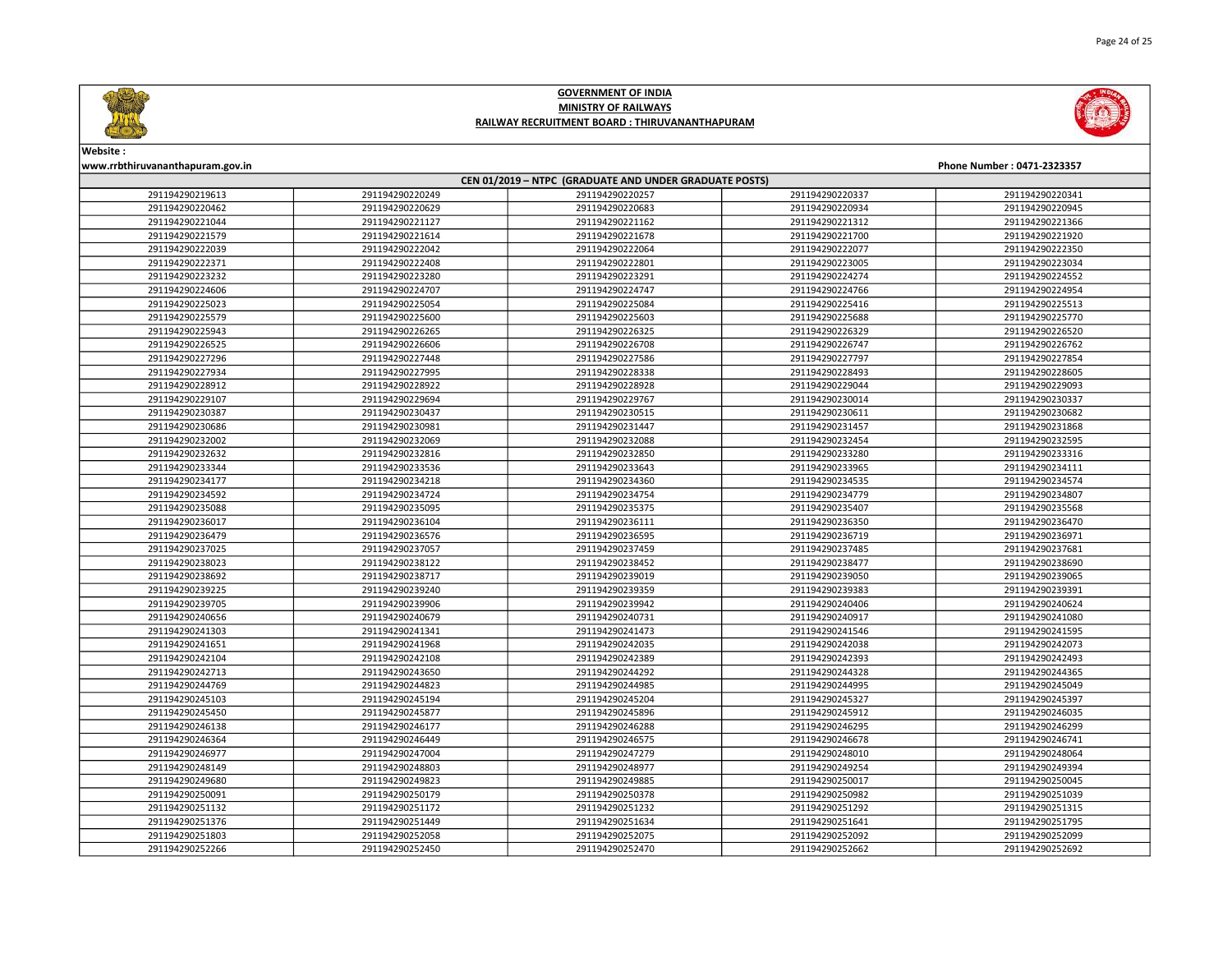



| CEN 01/2019 - NTPC (GRADUATE AND UNDER GRADUATE POSTS) |                 |                 |                 |                 |  |
|--------------------------------------------------------|-----------------|-----------------|-----------------|-----------------|--|
| 291194290219613                                        | 291194290220249 | 291194290220257 | 291194290220337 | 291194290220341 |  |
| 291194290220462                                        | 291194290220629 | 291194290220683 | 291194290220934 | 291194290220945 |  |
| 291194290221044                                        | 291194290221127 | 291194290221162 | 291194290221312 | 291194290221366 |  |
| 291194290221579                                        | 291194290221614 | 291194290221678 | 291194290221700 | 291194290221920 |  |
| 291194290222039                                        | 291194290222042 | 291194290222064 | 291194290222077 | 291194290222350 |  |
| 291194290222371                                        | 291194290222408 | 291194290222801 | 291194290223005 | 291194290223034 |  |
| 291194290223232                                        | 291194290223280 | 291194290223291 | 291194290224274 | 291194290224552 |  |
| 291194290224606                                        | 291194290224707 | 291194290224747 | 291194290224766 | 291194290224954 |  |
| 291194290225023                                        | 291194290225054 | 291194290225084 | 291194290225416 | 291194290225513 |  |
| 291194290225579                                        | 291194290225600 | 291194290225603 | 291194290225688 | 291194290225770 |  |
| 291194290225943                                        | 291194290226265 | 291194290226325 | 291194290226329 | 291194290226520 |  |
| 291194290226525                                        | 291194290226606 | 291194290226708 | 291194290226747 | 291194290226762 |  |
| 291194290227296                                        | 291194290227448 | 291194290227586 | 291194290227797 | 291194290227854 |  |
| 291194290227934                                        | 291194290227995 | 291194290228338 | 291194290228493 | 291194290228605 |  |
| 291194290228912                                        | 291194290228922 | 291194290228928 | 291194290229044 | 291194290229093 |  |
| 291194290229107                                        | 291194290229694 | 291194290229767 | 291194290230014 | 291194290230337 |  |
| 291194290230387                                        | 291194290230437 | 291194290230515 | 291194290230611 | 291194290230682 |  |
| 291194290230686                                        | 291194290230981 | 291194290231447 | 291194290231457 | 291194290231868 |  |
| 291194290232002                                        | 291194290232069 | 291194290232088 | 291194290232454 | 291194290232595 |  |
| 291194290232632                                        | 291194290232816 | 291194290232850 | 291194290233280 | 291194290233316 |  |
| 291194290233344                                        | 291194290233536 | 291194290233643 | 291194290233965 | 291194290234111 |  |
| 291194290234177                                        | 291194290234218 | 291194290234360 | 291194290234535 | 291194290234574 |  |
| 291194290234592                                        | 291194290234724 | 291194290234754 | 291194290234779 | 291194290234807 |  |
| 291194290235088                                        | 291194290235095 | 291194290235375 | 291194290235407 | 291194290235568 |  |
| 291194290236017                                        | 291194290236104 | 291194290236111 | 291194290236350 | 291194290236470 |  |
| 291194290236479                                        | 291194290236576 | 291194290236595 | 291194290236719 | 291194290236971 |  |
| 291194290237025                                        | 291194290237057 | 291194290237459 | 291194290237485 | 291194290237681 |  |
| 291194290238023                                        | 291194290238122 | 291194290238452 | 291194290238477 | 291194290238690 |  |
| 291194290238692                                        | 291194290238717 | 291194290239019 | 291194290239050 | 291194290239065 |  |
| 291194290239225                                        | 291194290239240 | 291194290239359 | 291194290239383 | 291194290239391 |  |
| 291194290239705                                        | 291194290239906 | 291194290239942 | 291194290240406 | 291194290240624 |  |
| 291194290240656                                        | 291194290240679 | 291194290240731 | 291194290240917 | 291194290241080 |  |
| 291194290241303                                        | 291194290241341 | 291194290241473 | 291194290241546 | 291194290241595 |  |
| 291194290241651                                        | 291194290241968 | 291194290242035 | 291194290242038 | 291194290242073 |  |
| 291194290242104                                        | 291194290242108 | 291194290242389 | 291194290242393 | 291194290242493 |  |
| 291194290242713                                        | 291194290243650 | 291194290244292 | 291194290244328 | 291194290244365 |  |
| 291194290244769                                        | 291194290244823 | 291194290244985 | 291194290244995 | 291194290245049 |  |
| 291194290245103                                        | 291194290245194 | 291194290245204 | 291194290245327 | 291194290245397 |  |
| 291194290245450                                        | 291194290245877 | 291194290245896 | 291194290245912 | 291194290246035 |  |
| 291194290246138                                        | 291194290246177 | 291194290246288 | 291194290246295 | 291194290246299 |  |
| 291194290246364                                        | 291194290246449 | 291194290246575 | 291194290246678 | 291194290246741 |  |
| 291194290246977                                        | 291194290247004 | 291194290247279 | 291194290248010 | 291194290248064 |  |
| 291194290248149                                        | 291194290248803 | 291194290248977 | 291194290249254 | 291194290249394 |  |
| 291194290249680                                        | 291194290249823 | 291194290249885 | 291194290250017 | 291194290250045 |  |
| 291194290250091                                        | 291194290250179 | 291194290250378 | 291194290250982 | 291194290251039 |  |
| 291194290251132                                        | 291194290251172 | 291194290251232 | 291194290251292 | 291194290251315 |  |
| 291194290251376                                        | 291194290251449 | 291194290251634 | 291194290251641 | 291194290251795 |  |
| 291194290251803                                        | 291194290252058 | 291194290252075 | 291194290252092 | 291194290252099 |  |
| 291194290252266                                        | 291194290252450 | 291194290252470 | 291194290252662 | 291194290252692 |  |